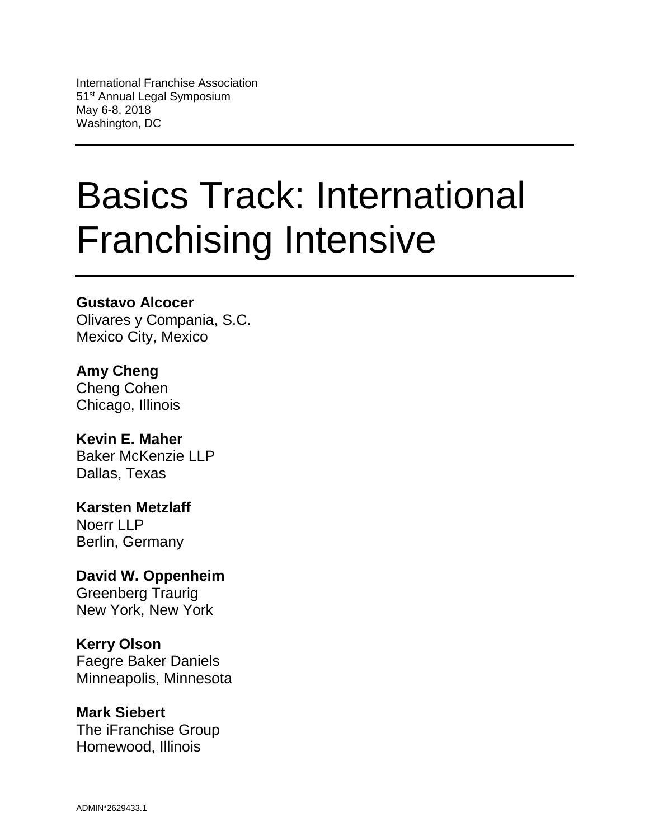# Basics Track: International Franchising Intensive

## **Gustavo Alcocer**

Olivares y Compania, S.C. Mexico City, Mexico

**Amy Cheng** Cheng Cohen Chicago, Illinois

**Kevin E. Maher** Baker McKenzie LLP Dallas, Texas

**Karsten Metzlaff** Noerr LLP Berlin, Germany

**David W. Oppenheim** Greenberg Traurig New York, New York

## **Kerry Olson**

Faegre Baker Daniels Minneapolis, Minnesota

## **Mark Siebert**

The iFranchise Group Homewood, Illinois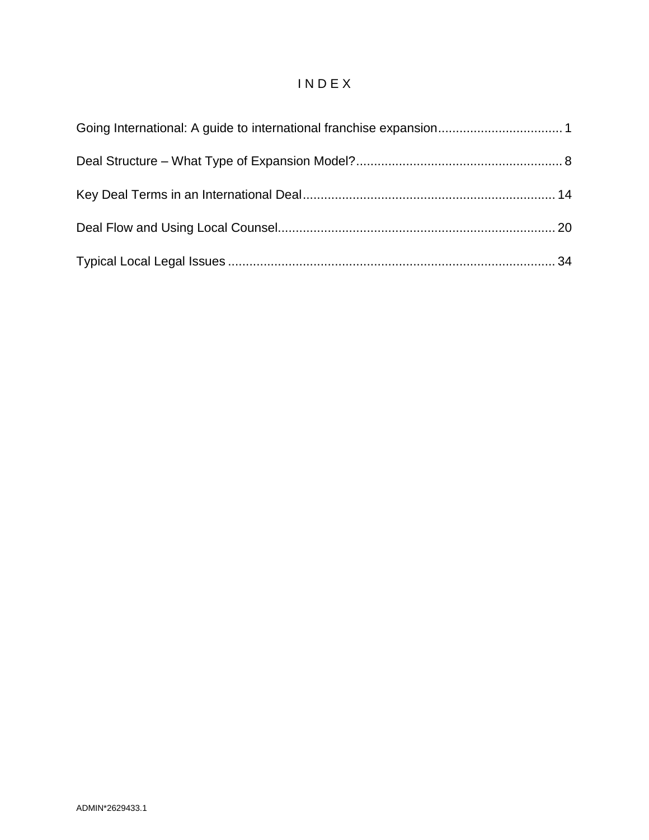## I N D E X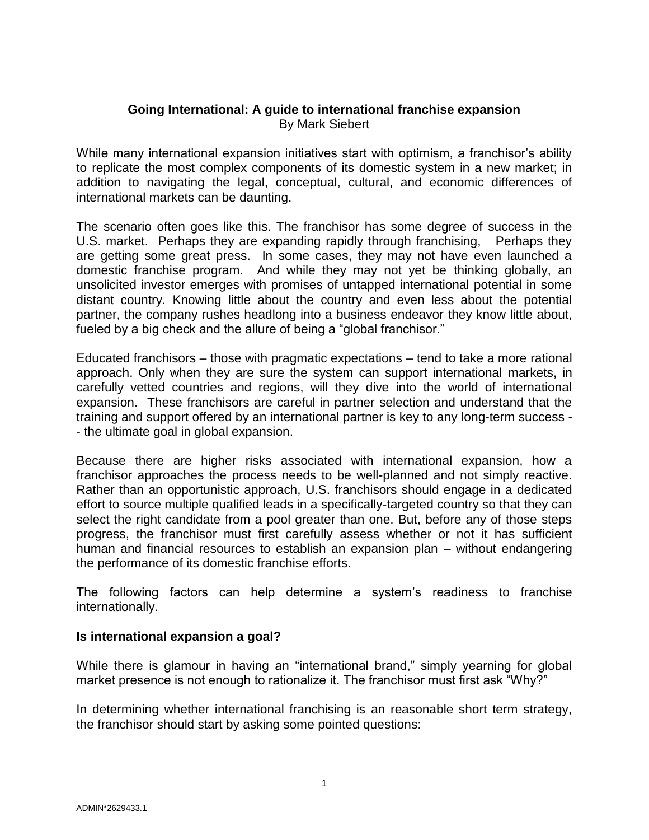## <span id="page-2-0"></span>**Going International: A guide to international franchise expansion** By Mark Siebert

While many international expansion initiatives start with optimism, a franchisor's ability to replicate the most complex components of its domestic system in a new market; in addition to navigating the legal, conceptual, cultural, and economic differences of international markets can be daunting.

The scenario often goes like this. The franchisor has some degree of success in the U.S. market. Perhaps they are expanding rapidly through franchising, Perhaps they are getting some great press. In some cases, they may not have even launched a domestic franchise program. And while they may not yet be thinking globally, an unsolicited investor emerges with promises of untapped international potential in some distant country. Knowing little about the country and even less about the potential partner, the company rushes headlong into a business endeavor they know little about, fueled by a big check and the allure of being a "global franchisor."

Educated franchisors – those with pragmatic expectations – tend to take a more rational approach. Only when they are sure the system can support international markets, in carefully vetted countries and regions, will they dive into the world of international expansion. These franchisors are careful in partner selection and understand that the training and support offered by an international partner is key to any long-term success - - the ultimate goal in global expansion.

Because there are higher risks associated with international expansion, how a franchisor approaches the process needs to be well-planned and not simply reactive. Rather than an opportunistic approach, U.S. franchisors should engage in a dedicated effort to source multiple qualified leads in a specifically-targeted country so that they can select the right candidate from a pool greater than one. But, before any of those steps progress, the franchisor must first carefully assess whether or not it has sufficient human and financial resources to establish an expansion plan – without endangering the performance of its domestic franchise efforts.

The following factors can help determine a system's readiness to franchise internationally.

#### **Is international expansion a goal?**

While there is glamour in having an "international brand," simply yearning for global market presence is not enough to rationalize it. The franchisor must first ask "Why?"

In determining whether international franchising is an reasonable short term strategy, the franchisor should start by asking some pointed questions: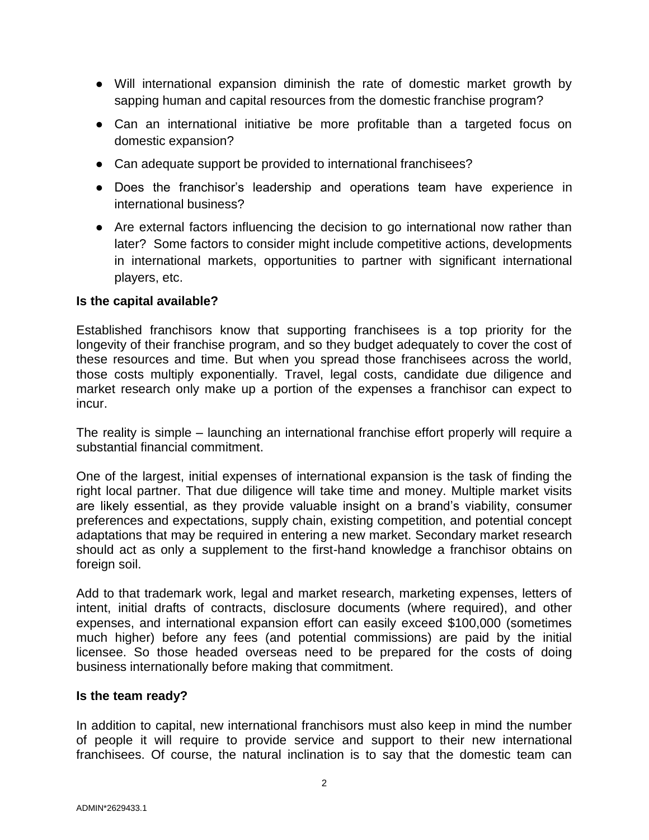- Will international expansion diminish the rate of domestic market growth by sapping human and capital resources from the domestic franchise program?
- Can an international initiative be more profitable than a targeted focus on domestic expansion?
- Can adequate support be provided to international franchisees?
- Does the franchisor's leadership and operations team have experience in international business?
- Are external factors influencing the decision to go international now rather than later? Some factors to consider might include competitive actions, developments in international markets, opportunities to partner with significant international players, etc.

#### **Is the capital available?**

Established franchisors know that supporting franchisees is a top priority for the longevity of their franchise program, and so they budget adequately to cover the cost of these resources and time. But when you spread those franchisees across the world, those costs multiply exponentially. Travel, legal costs, candidate due diligence and market research only make up a portion of the expenses a franchisor can expect to incur.

The reality is simple – launching an international franchise effort properly will require a substantial financial commitment.

One of the largest, initial expenses of international expansion is the task of finding the right local partner. That due diligence will take time and money. Multiple market visits are likely essential, as they provide valuable insight on a brand's viability, consumer preferences and expectations, supply chain, existing competition, and potential concept adaptations that may be required in entering a new market. Secondary market research should act as only a supplement to the first-hand knowledge a franchisor obtains on foreign soil.

Add to that trademark work, legal and market research, marketing expenses, letters of intent, initial drafts of contracts, disclosure documents (where required), and other expenses, and international expansion effort can easily exceed \$100,000 (sometimes much higher) before any fees (and potential commissions) are paid by the initial licensee. So those headed overseas need to be prepared for the costs of doing business internationally before making that commitment.

#### **Is the team ready?**

In addition to capital, new international franchisors must also keep in mind the number of people it will require to provide service and support to their new international franchisees. Of course, the natural inclination is to say that the domestic team can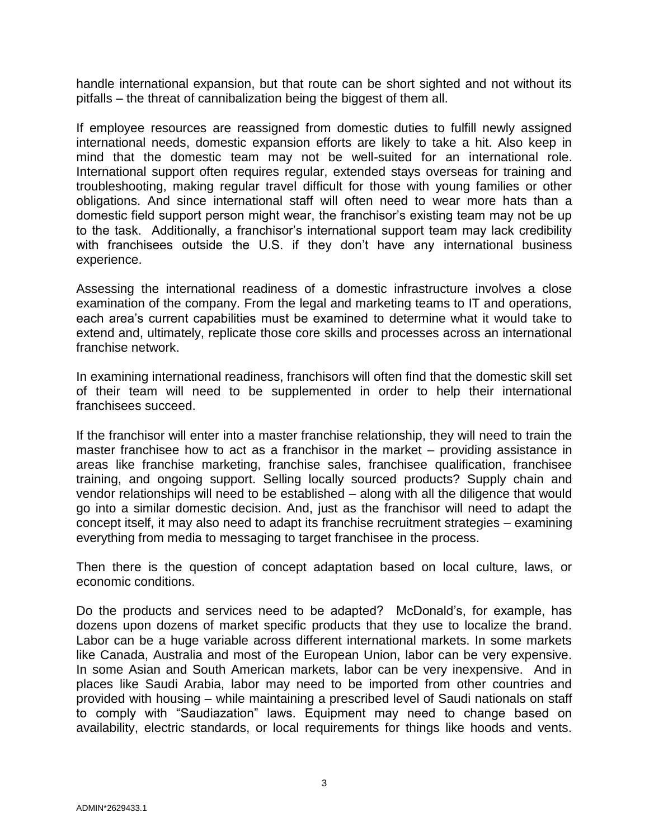handle international expansion, but that route can be short sighted and not without its pitfalls – the threat of cannibalization being the biggest of them all.

If employee resources are reassigned from domestic duties to fulfill newly assigned international needs, domestic expansion efforts are likely to take a hit. Also keep in mind that the domestic team may not be well-suited for an international role. International support often requires regular, extended stays overseas for training and troubleshooting, making regular travel difficult for those with young families or other obligations. And since international staff will often need to wear more hats than a domestic field support person might wear, the franchisor's existing team may not be up to the task. Additionally, a franchisor's international support team may lack credibility with franchisees outside the U.S. if they don't have any international business experience.

Assessing the international readiness of a domestic infrastructure involves a close examination of the company. From the legal and marketing teams to IT and operations, each area's current capabilities must be examined to determine what it would take to extend and, ultimately, replicate those core skills and processes across an international franchise network.

In examining international readiness, franchisors will often find that the domestic skill set of their team will need to be supplemented in order to help their international franchisees succeed.

If the franchisor will enter into a master franchise relationship, they will need to train the master franchisee how to act as a franchisor in the market – providing assistance in areas like franchise marketing, franchise sales, franchisee qualification, franchisee training, and ongoing support. Selling locally sourced products? Supply chain and vendor relationships will need to be established – along with all the diligence that would go into a similar domestic decision. And, just as the franchisor will need to adapt the concept itself, it may also need to adapt its franchise recruitment strategies – examining everything from media to messaging to target franchisee in the process.

Then there is the question of concept adaptation based on local culture, laws, or economic conditions.

Do the products and services need to be adapted? McDonald's, for example, has dozens upon dozens of market specific products that they use to localize the brand. Labor can be a huge variable across different international markets. In some markets like Canada, Australia and most of the European Union, labor can be very expensive. In some Asian and South American markets, labor can be very inexpensive. And in places like Saudi Arabia, labor may need to be imported from other countries and provided with housing – while maintaining a prescribed level of Saudi nationals on staff to comply with "Saudiazation" laws. Equipment may need to change based on availability, electric standards, or local requirements for things like hoods and vents.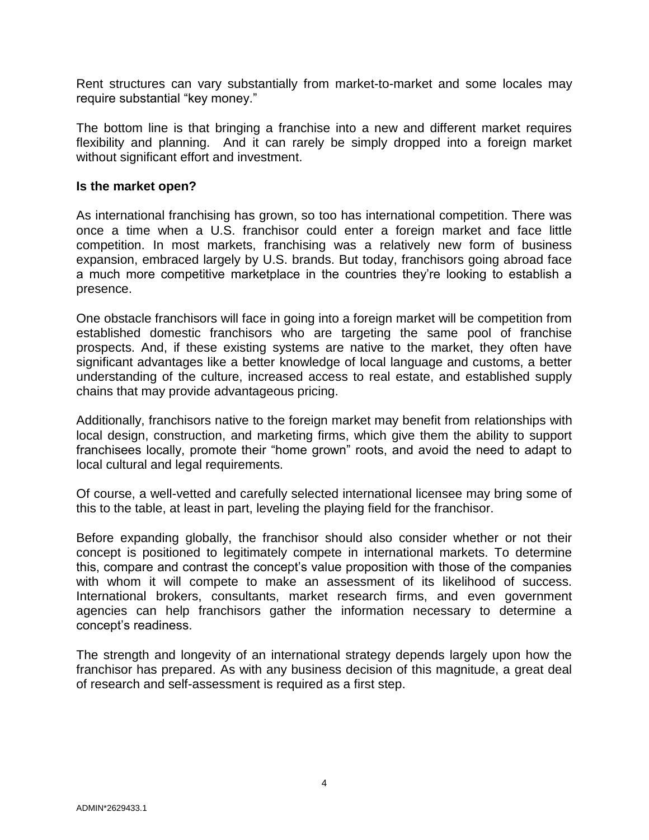Rent structures can vary substantially from market-to-market and some locales may require substantial "key money."

The bottom line is that bringing a franchise into a new and different market requires flexibility and planning. And it can rarely be simply dropped into a foreign market without significant effort and investment.

#### **Is the market open?**

As international franchising has grown, so too has international competition. There was once a time when a U.S. franchisor could enter a foreign market and face little competition. In most markets, franchising was a relatively new form of business expansion, embraced largely by U.S. brands. But today, franchisors going abroad face a much more competitive marketplace in the countries they're looking to establish a presence.

One obstacle franchisors will face in going into a foreign market will be competition from established domestic franchisors who are targeting the same pool of franchise prospects. And, if these existing systems are native to the market, they often have significant advantages like a better knowledge of local language and customs, a better understanding of the culture, increased access to real estate, and established supply chains that may provide advantageous pricing.

Additionally, franchisors native to the foreign market may benefit from relationships with local design, construction, and marketing firms, which give them the ability to support franchisees locally, promote their "home grown" roots, and avoid the need to adapt to local cultural and legal requirements.

Of course, a well-vetted and carefully selected international licensee may bring some of this to the table, at least in part, leveling the playing field for the franchisor.

Before expanding globally, the franchisor should also consider whether or not their concept is positioned to legitimately compete in international markets. To determine this, compare and contrast the concept's value proposition with those of the companies with whom it will compete to make an assessment of its likelihood of success. International brokers, consultants, market research firms, and even government agencies can help franchisors gather the information necessary to determine a concept's readiness.

The strength and longevity of an international strategy depends largely upon how the franchisor has prepared. As with any business decision of this magnitude, a great deal of research and self-assessment is required as a first step.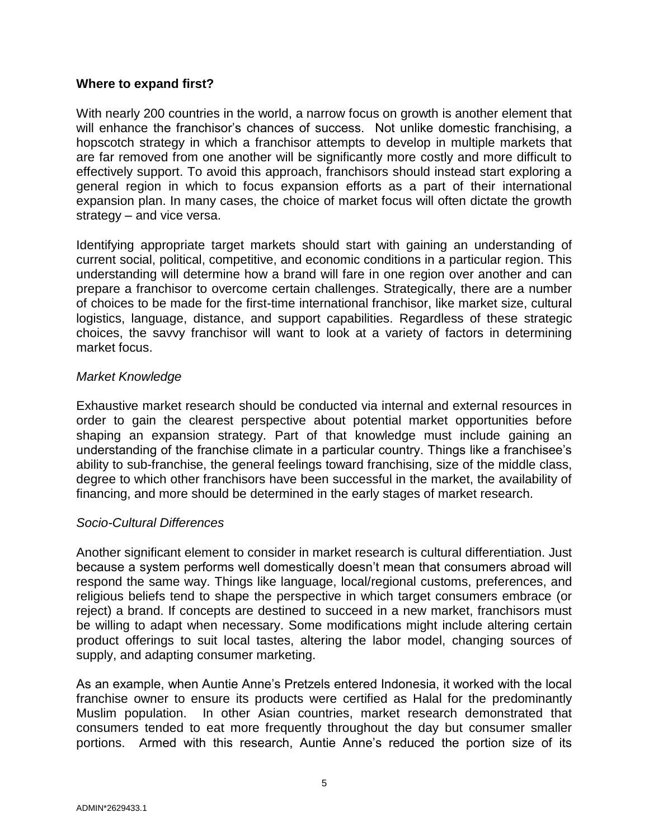#### **Where to expand first?**

With nearly 200 countries in the world, a narrow focus on growth is another element that will enhance the franchisor's chances of success. Not unlike domestic franchising, a hopscotch strategy in which a franchisor attempts to develop in multiple markets that are far removed from one another will be significantly more costly and more difficult to effectively support. To avoid this approach, franchisors should instead start exploring a general region in which to focus expansion efforts as a part of their international expansion plan. In many cases, the choice of market focus will often dictate the growth strategy – and vice versa.

Identifying appropriate target markets should start with gaining an understanding of current social, political, competitive, and economic conditions in a particular region. This understanding will determine how a brand will fare in one region over another and can prepare a franchisor to overcome certain challenges. Strategically, there are a number of choices to be made for the first-time international franchisor, like market size, cultural logistics, language, distance, and support capabilities. Regardless of these strategic choices, the savvy franchisor will want to look at a variety of factors in determining market focus.

#### *Market Knowledge*

Exhaustive market research should be conducted via internal and external resources in order to gain the clearest perspective about potential market opportunities before shaping an expansion strategy. Part of that knowledge must include gaining an understanding of the franchise climate in a particular country. Things like a franchisee's ability to sub-franchise, the general feelings toward franchising, size of the middle class, degree to which other franchisors have been successful in the market, the availability of financing, and more should be determined in the early stages of market research.

## *Socio-Cultural Differences*

Another significant element to consider in market research is cultural differentiation. Just because a system performs well domestically doesn't mean that consumers abroad will respond the same way. Things like language, local/regional customs, preferences, and religious beliefs tend to shape the perspective in which target consumers embrace (or reject) a brand. If concepts are destined to succeed in a new market, franchisors must be willing to adapt when necessary. Some modifications might include altering certain product offerings to suit local tastes, altering the labor model, changing sources of supply, and adapting consumer marketing.

As an example, when Auntie Anne's Pretzels entered Indonesia, it worked with the local franchise owner to ensure its products were certified as Halal for the predominantly Muslim population. In other Asian countries, market research demonstrated that consumers tended to eat more frequently throughout the day but consumer smaller portions. Armed with this research, Auntie Anne's reduced the portion size of its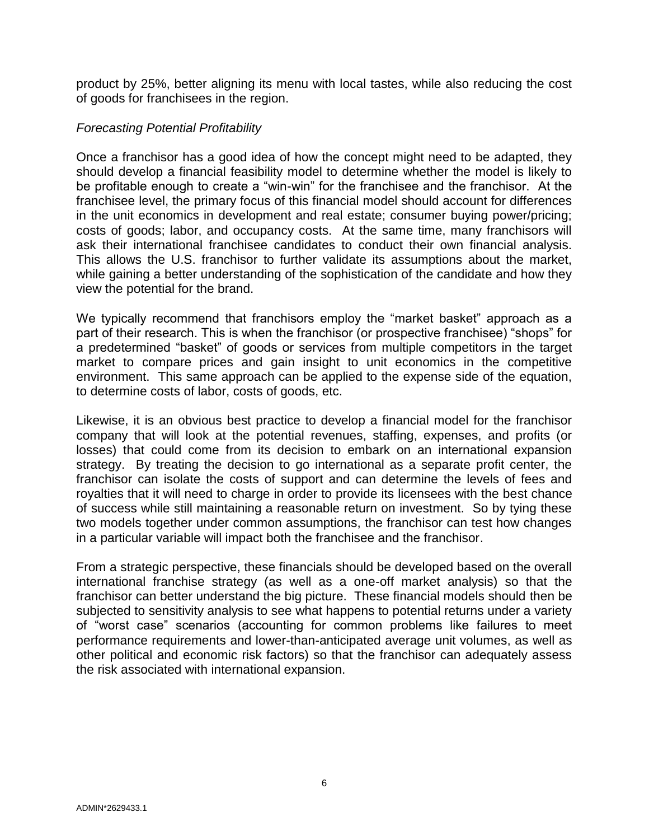product by 25%, better aligning its menu with local tastes, while also reducing the cost of goods for franchisees in the region.

## *Forecasting Potential Profitability*

Once a franchisor has a good idea of how the concept might need to be adapted, they should develop a financial feasibility model to determine whether the model is likely to be profitable enough to create a "win-win" for the franchisee and the franchisor. At the franchisee level, the primary focus of this financial model should account for differences in the unit economics in development and real estate; consumer buying power/pricing; costs of goods; labor, and occupancy costs. At the same time, many franchisors will ask their international franchisee candidates to conduct their own financial analysis. This allows the U.S. franchisor to further validate its assumptions about the market, while gaining a better understanding of the sophistication of the candidate and how they view the potential for the brand.

We typically recommend that franchisors employ the "market basket" approach as a part of their research. This is when the franchisor (or prospective franchisee) "shops" for a predetermined "basket" of goods or services from multiple competitors in the target market to compare prices and gain insight to unit economics in the competitive environment. This same approach can be applied to the expense side of the equation, to determine costs of labor, costs of goods, etc.

Likewise, it is an obvious best practice to develop a financial model for the franchisor company that will look at the potential revenues, staffing, expenses, and profits (or losses) that could come from its decision to embark on an international expansion strategy. By treating the decision to go international as a separate profit center, the franchisor can isolate the costs of support and can determine the levels of fees and royalties that it will need to charge in order to provide its licensees with the best chance of success while still maintaining a reasonable return on investment. So by tying these two models together under common assumptions, the franchisor can test how changes in a particular variable will impact both the franchisee and the franchisor.

From a strategic perspective, these financials should be developed based on the overall international franchise strategy (as well as a one-off market analysis) so that the franchisor can better understand the big picture. These financial models should then be subjected to sensitivity analysis to see what happens to potential returns under a variety of "worst case" scenarios (accounting for common problems like failures to meet performance requirements and lower-than-anticipated average unit volumes, as well as other political and economic risk factors) so that the franchisor can adequately assess the risk associated with international expansion.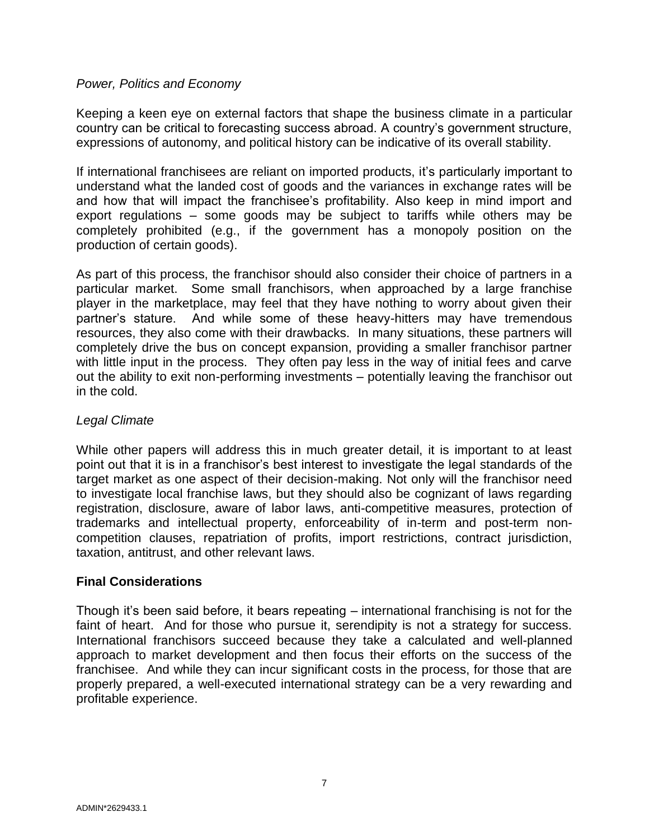## *Power, Politics and Economy*

Keeping a keen eye on external factors that shape the business climate in a particular country can be critical to forecasting success abroad. A country's government structure, expressions of autonomy, and political history can be indicative of its overall stability.

If international franchisees are reliant on imported products, it's particularly important to understand what the landed cost of goods and the variances in exchange rates will be and how that will impact the franchisee's profitability. Also keep in mind import and export regulations – some goods may be subject to tariffs while others may be completely prohibited (e.g., if the government has a monopoly position on the production of certain goods).

As part of this process, the franchisor should also consider their choice of partners in a particular market. Some small franchisors, when approached by a large franchise player in the marketplace, may feel that they have nothing to worry about given their partner's stature. And while some of these heavy-hitters may have tremendous resources, they also come with their drawbacks. In many situations, these partners will completely drive the bus on concept expansion, providing a smaller franchisor partner with little input in the process. They often pay less in the way of initial fees and carve out the ability to exit non-performing investments – potentially leaving the franchisor out in the cold.

#### *Legal Climate*

While other papers will address this in much greater detail, it is important to at least point out that it is in a franchisor's best interest to investigate the legal standards of the target market as one aspect of their decision-making. Not only will the franchisor need to investigate local franchise laws, but they should also be cognizant of laws regarding registration, disclosure, aware of labor laws, anti-competitive measures, protection of trademarks and intellectual property, enforceability of in-term and post-term noncompetition clauses, repatriation of profits, import restrictions, contract jurisdiction, taxation, antitrust, and other relevant laws.

## **Final Considerations**

Though it's been said before, it bears repeating – international franchising is not for the faint of heart. And for those who pursue it, serendipity is not a strategy for success. International franchisors succeed because they take a calculated and well-planned approach to market development and then focus their efforts on the success of the franchisee. And while they can incur significant costs in the process, for those that are properly prepared, a well-executed international strategy can be a very rewarding and profitable experience.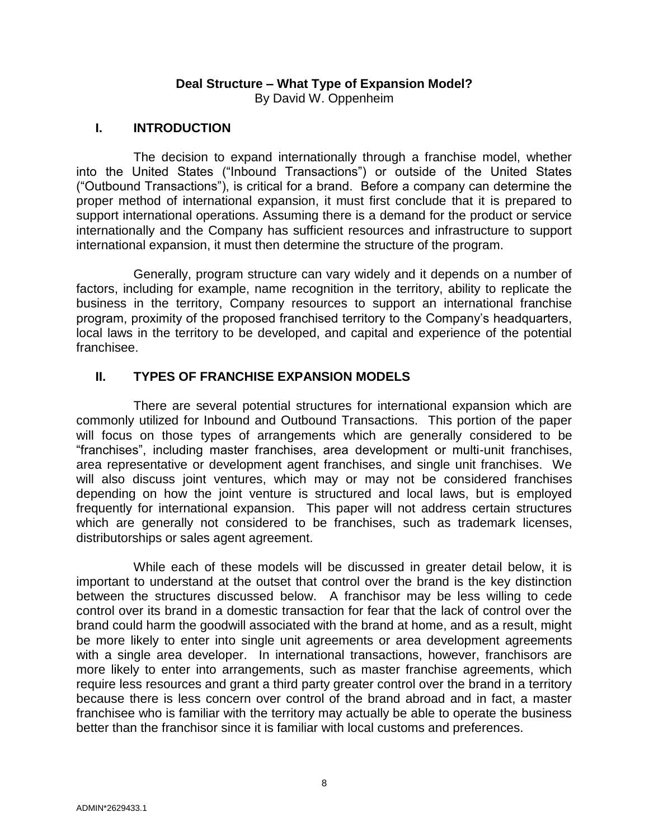## **Deal Structure – What Type of Expansion Model?**

By David W. Oppenheim

## <span id="page-9-0"></span>**I. INTRODUCTION**

The decision to expand internationally through a franchise model, whether into the United States ("Inbound Transactions") or outside of the United States ("Outbound Transactions"), is critical for a brand. Before a company can determine the proper method of international expansion, it must first conclude that it is prepared to support international operations. Assuming there is a demand for the product or service internationally and the Company has sufficient resources and infrastructure to support international expansion, it must then determine the structure of the program.

Generally, program structure can vary widely and it depends on a number of factors, including for example, name recognition in the territory, ability to replicate the business in the territory, Company resources to support an international franchise program, proximity of the proposed franchised territory to the Company's headquarters, local laws in the territory to be developed, and capital and experience of the potential franchisee.

## **II. TYPES OF FRANCHISE EXPANSION MODELS**

There are several potential structures for international expansion which are commonly utilized for Inbound and Outbound Transactions. This portion of the paper will focus on those types of arrangements which are generally considered to be "franchises", including master franchises, area development or multi-unit franchises, area representative or development agent franchises, and single unit franchises. We will also discuss joint ventures, which may or may not be considered franchises depending on how the joint venture is structured and local laws, but is employed frequently for international expansion. This paper will not address certain structures which are generally not considered to be franchises, such as trademark licenses, distributorships or sales agent agreement.

While each of these models will be discussed in greater detail below, it is important to understand at the outset that control over the brand is the key distinction between the structures discussed below. A franchisor may be less willing to cede control over its brand in a domestic transaction for fear that the lack of control over the brand could harm the goodwill associated with the brand at home, and as a result, might be more likely to enter into single unit agreements or area development agreements with a single area developer. In international transactions, however, franchisors are more likely to enter into arrangements, such as master franchise agreements, which require less resources and grant a third party greater control over the brand in a territory because there is less concern over control of the brand abroad and in fact, a master franchisee who is familiar with the territory may actually be able to operate the business better than the franchisor since it is familiar with local customs and preferences.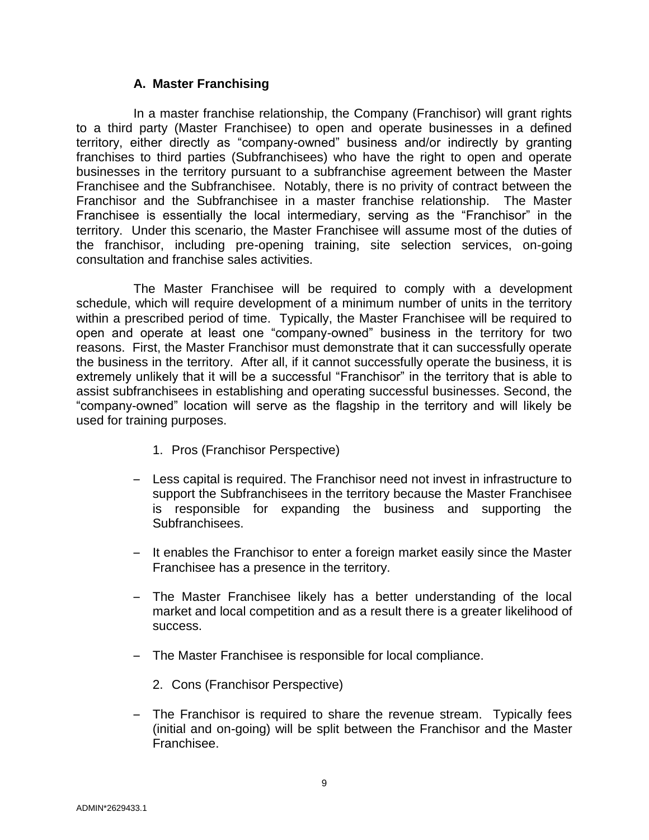## **A. Master Franchising**

In a master franchise relationship, the Company (Franchisor) will grant rights to a third party (Master Franchisee) to open and operate businesses in a defined territory, either directly as "company-owned" business and/or indirectly by granting franchises to third parties (Subfranchisees) who have the right to open and operate businesses in the territory pursuant to a subfranchise agreement between the Master Franchisee and the Subfranchisee. Notably, there is no privity of contract between the Franchisor and the Subfranchisee in a master franchise relationship. The Master Franchisee is essentially the local intermediary, serving as the "Franchisor" in the territory. Under this scenario, the Master Franchisee will assume most of the duties of the franchisor, including pre-opening training, site selection services, on-going consultation and franchise sales activities.

The Master Franchisee will be required to comply with a development schedule, which will require development of a minimum number of units in the territory within a prescribed period of time. Typically, the Master Franchisee will be required to open and operate at least one "company-owned" business in the territory for two reasons. First, the Master Franchisor must demonstrate that it can successfully operate the business in the territory. After all, if it cannot successfully operate the business, it is extremely unlikely that it will be a successful "Franchisor" in the territory that is able to assist subfranchisees in establishing and operating successful businesses. Second, the "company-owned" location will serve as the flagship in the territory and will likely be used for training purposes.

- 1. Pros (Franchisor Perspective)
- Less capital is required. The Franchisor need not invest in infrastructure to support the Subfranchisees in the territory because the Master Franchisee is responsible for expanding the business and supporting the Subfranchisees.
- It enables the Franchisor to enter a foreign market easily since the Master Franchisee has a presence in the territory.
- The Master Franchisee likely has a better understanding of the local market and local competition and as a result there is a greater likelihood of success.
- The Master Franchisee is responsible for local compliance.
	- 2. Cons (Franchisor Perspective)
- The Franchisor is required to share the revenue stream. Typically fees (initial and on-going) will be split between the Franchisor and the Master Franchisee.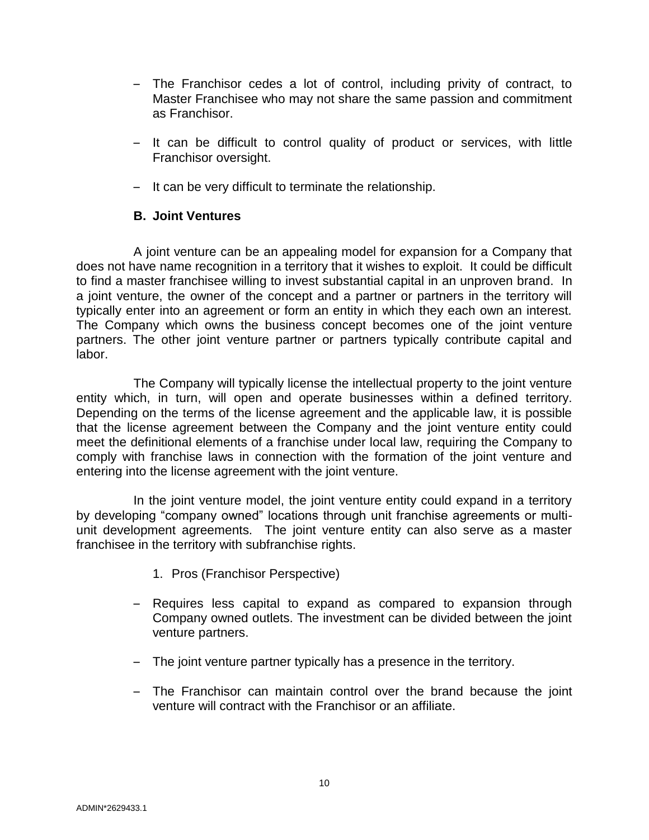- The Franchisor cedes a lot of control, including privity of contract, to Master Franchisee who may not share the same passion and commitment as Franchisor.
- It can be difficult to control quality of product or services, with little Franchisor oversight.
- It can be very difficult to terminate the relationship.

## **B. Joint Ventures**

A joint venture can be an appealing model for expansion for a Company that does not have name recognition in a territory that it wishes to exploit. It could be difficult to find a master franchisee willing to invest substantial capital in an unproven brand. In a joint venture, the owner of the concept and a partner or partners in the territory will typically enter into an agreement or form an entity in which they each own an interest. The Company which owns the business concept becomes one of the joint venture partners. The other joint venture partner or partners typically contribute capital and labor.

The Company will typically license the intellectual property to the joint venture entity which, in turn, will open and operate businesses within a defined territory. Depending on the terms of the license agreement and the applicable law, it is possible that the license agreement between the Company and the joint venture entity could meet the definitional elements of a franchise under local law, requiring the Company to comply with franchise laws in connection with the formation of the joint venture and entering into the license agreement with the joint venture.

In the joint venture model, the joint venture entity could expand in a territory by developing "company owned" locations through unit franchise agreements or multiunit development agreements. The joint venture entity can also serve as a master franchisee in the territory with subfranchise rights.

- 1. Pros (Franchisor Perspective)
- Requires less capital to expand as compared to expansion through Company owned outlets. The investment can be divided between the joint venture partners.
- The joint venture partner typically has a presence in the territory.
- The Franchisor can maintain control over the brand because the joint venture will contract with the Franchisor or an affiliate.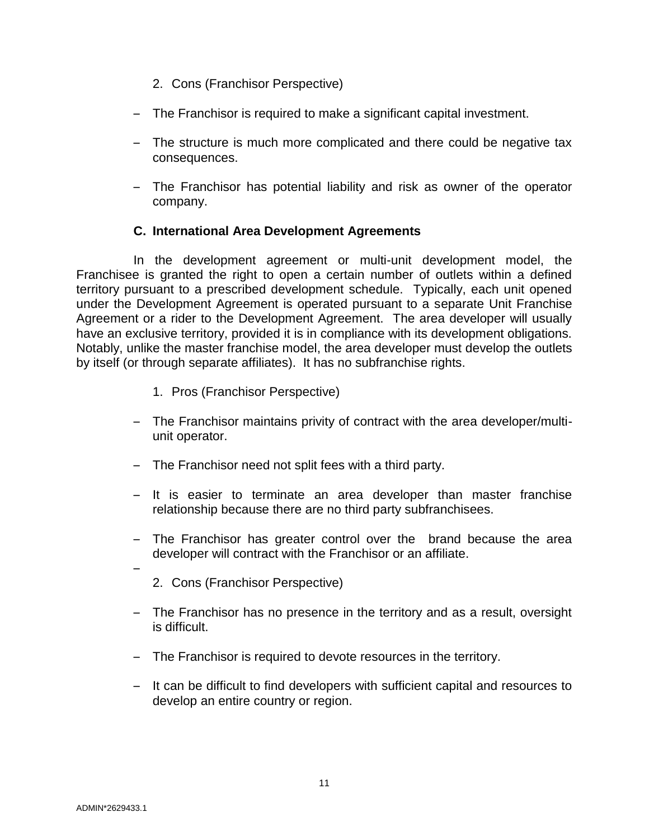- 2. Cons (Franchisor Perspective)
- The Franchisor is required to make a significant capital investment.
- The structure is much more complicated and there could be negative tax consequences.
- The Franchisor has potential liability and risk as owner of the operator company.

## **C. International Area Development Agreements**

In the development agreement or multi-unit development model, the Franchisee is granted the right to open a certain number of outlets within a defined territory pursuant to a prescribed development schedule. Typically, each unit opened under the Development Agreement is operated pursuant to a separate Unit Franchise Agreement or a rider to the Development Agreement. The area developer will usually have an exclusive territory, provided it is in compliance with its development obligations. Notably, unlike the master franchise model, the area developer must develop the outlets by itself (or through separate affiliates). It has no subfranchise rights.

- 1. Pros (Franchisor Perspective)
- The Franchisor maintains privity of contract with the area developer/multiunit operator.
- The Franchisor need not split fees with a third party.
- It is easier to terminate an area developer than master franchise relationship because there are no third party subfranchisees.
- The Franchisor has greater control over the brand because the area developer will contract with the Franchisor or an affiliate.
- 2. Cons (Franchisor Perspective)
- The Franchisor has no presence in the territory and as a result, oversight is difficult.
- The Franchisor is required to devote resources in the territory.
- It can be difficult to find developers with sufficient capital and resources to develop an entire country or region.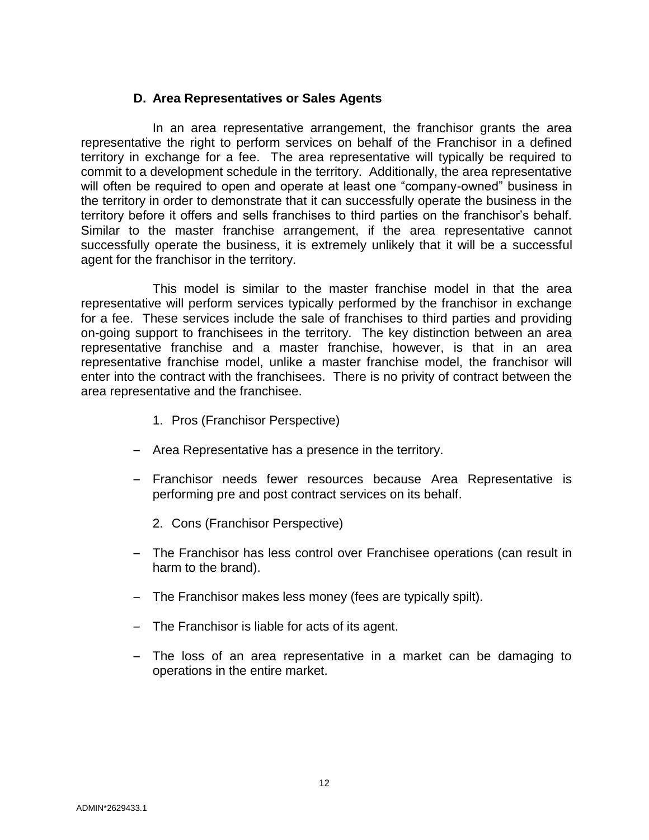## **D. Area Representatives or Sales Agents**

In an area representative arrangement, the franchisor grants the area representative the right to perform services on behalf of the Franchisor in a defined territory in exchange for a fee. The area representative will typically be required to commit to a development schedule in the territory. Additionally, the area representative will often be required to open and operate at least one "company-owned" business in the territory in order to demonstrate that it can successfully operate the business in the territory before it offers and sells franchises to third parties on the franchisor's behalf. Similar to the master franchise arrangement, if the area representative cannot successfully operate the business, it is extremely unlikely that it will be a successful agent for the franchisor in the territory.

This model is similar to the master franchise model in that the area representative will perform services typically performed by the franchisor in exchange for a fee. These services include the sale of franchises to third parties and providing on-going support to franchisees in the territory. The key distinction between an area representative franchise and a master franchise, however, is that in an area representative franchise model, unlike a master franchise model, the franchisor will enter into the contract with the franchisees. There is no privity of contract between the area representative and the franchisee.

- 1. Pros (Franchisor Perspective)
- Area Representative has a presence in the territory.
- Franchisor needs fewer resources because Area Representative is performing pre and post contract services on its behalf.
	- 2. Cons (Franchisor Perspective)
- The Franchisor has less control over Franchisee operations (can result in harm to the brand).
- The Franchisor makes less money (fees are typically spilt).
- The Franchisor is liable for acts of its agent.
- The loss of an area representative in a market can be damaging to operations in the entire market.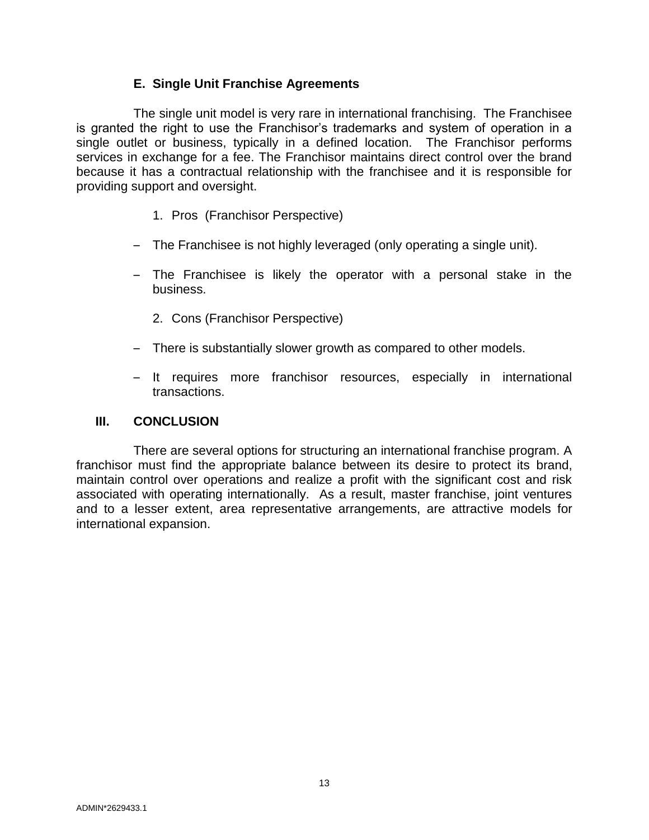## **E. Single Unit Franchise Agreements**

The single unit model is very rare in international franchising. The Franchisee is granted the right to use the Franchisor's trademarks and system of operation in a single outlet or business, typically in a defined location. The Franchisor performs services in exchange for a fee. The Franchisor maintains direct control over the brand because it has a contractual relationship with the franchisee and it is responsible for providing support and oversight.

- 1. Pros (Franchisor Perspective)
- The Franchisee is not highly leveraged (only operating a single unit).
- The Franchisee is likely the operator with a personal stake in the business.
	- 2. Cons (Franchisor Perspective)
- There is substantially slower growth as compared to other models.
- It requires more franchisor resources, especially in international transactions.

## **III. CONCLUSION**

There are several options for structuring an international franchise program. A franchisor must find the appropriate balance between its desire to protect its brand, maintain control over operations and realize a profit with the significant cost and risk associated with operating internationally. As a result, master franchise, joint ventures and to a lesser extent, area representative arrangements, are attractive models for international expansion.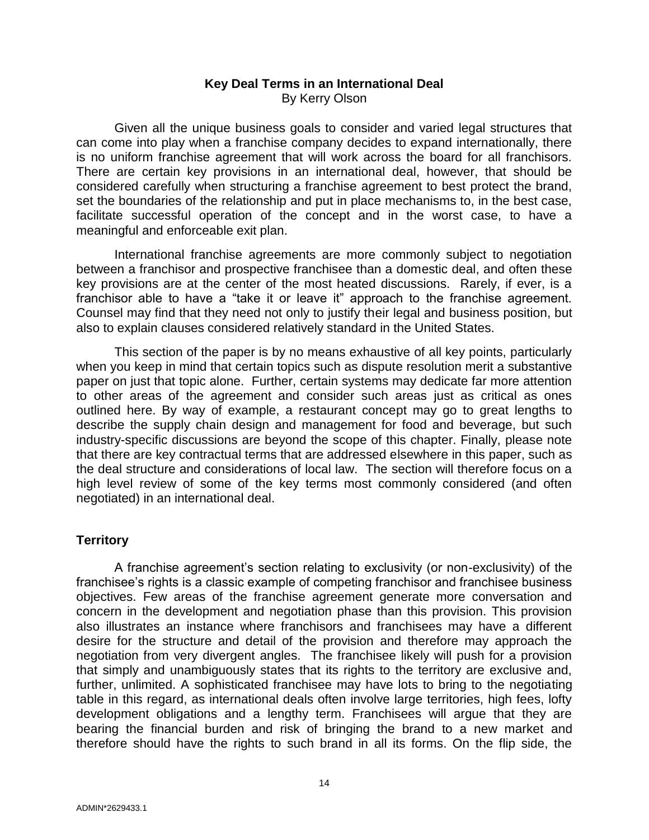## **Key Deal Terms in an International Deal** By Kerry Olson

<span id="page-15-0"></span>Given all the unique business goals to consider and varied legal structures that can come into play when a franchise company decides to expand internationally, there is no uniform franchise agreement that will work across the board for all franchisors. There are certain key provisions in an international deal, however, that should be considered carefully when structuring a franchise agreement to best protect the brand, set the boundaries of the relationship and put in place mechanisms to, in the best case, facilitate successful operation of the concept and in the worst case, to have a meaningful and enforceable exit plan.

International franchise agreements are more commonly subject to negotiation between a franchisor and prospective franchisee than a domestic deal, and often these key provisions are at the center of the most heated discussions. Rarely, if ever, is a franchisor able to have a "take it or leave it" approach to the franchise agreement. Counsel may find that they need not only to justify their legal and business position, but also to explain clauses considered relatively standard in the United States.

This section of the paper is by no means exhaustive of all key points, particularly when you keep in mind that certain topics such as dispute resolution merit a substantive paper on just that topic alone. Further, certain systems may dedicate far more attention to other areas of the agreement and consider such areas just as critical as ones outlined here. By way of example, a restaurant concept may go to great lengths to describe the supply chain design and management for food and beverage, but such industry-specific discussions are beyond the scope of this chapter. Finally, please note that there are key contractual terms that are addressed elsewhere in this paper, such as the deal structure and considerations of local law. The section will therefore focus on a high level review of some of the key terms most commonly considered (and often negotiated) in an international deal.

## **Territory**

A franchise agreement's section relating to exclusivity (or non-exclusivity) of the franchisee's rights is a classic example of competing franchisor and franchisee business objectives. Few areas of the franchise agreement generate more conversation and concern in the development and negotiation phase than this provision. This provision also illustrates an instance where franchisors and franchisees may have a different desire for the structure and detail of the provision and therefore may approach the negotiation from very divergent angles. The franchisee likely will push for a provision that simply and unambiguously states that its rights to the territory are exclusive and, further, unlimited. A sophisticated franchisee may have lots to bring to the negotiating table in this regard, as international deals often involve large territories, high fees, lofty development obligations and a lengthy term. Franchisees will argue that they are bearing the financial burden and risk of bringing the brand to a new market and therefore should have the rights to such brand in all its forms. On the flip side, the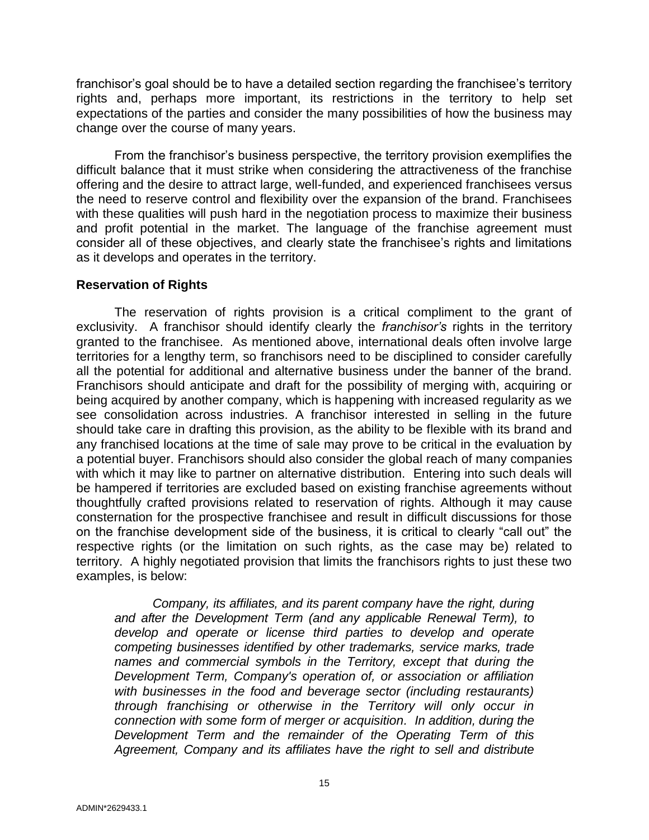franchisor's goal should be to have a detailed section regarding the franchisee's territory rights and, perhaps more important, its restrictions in the territory to help set expectations of the parties and consider the many possibilities of how the business may change over the course of many years.

From the franchisor's business perspective, the territory provision exemplifies the difficult balance that it must strike when considering the attractiveness of the franchise offering and the desire to attract large, well-funded, and experienced franchisees versus the need to reserve control and flexibility over the expansion of the brand. Franchisees with these qualities will push hard in the negotiation process to maximize their business and profit potential in the market. The language of the franchise agreement must consider all of these objectives, and clearly state the franchisee's rights and limitations as it develops and operates in the territory.

#### **Reservation of Rights**

The reservation of rights provision is a critical compliment to the grant of exclusivity. A franchisor should identify clearly the *franchisor's* rights in the territory granted to the franchisee. As mentioned above, international deals often involve large territories for a lengthy term, so franchisors need to be disciplined to consider carefully all the potential for additional and alternative business under the banner of the brand. Franchisors should anticipate and draft for the possibility of merging with, acquiring or being acquired by another company, which is happening with increased regularity as we see consolidation across industries. A franchisor interested in selling in the future should take care in drafting this provision, as the ability to be flexible with its brand and any franchised locations at the time of sale may prove to be critical in the evaluation by a potential buyer. Franchisors should also consider the global reach of many companies with which it may like to partner on alternative distribution. Entering into such deals will be hampered if territories are excluded based on existing franchise agreements without thoughtfully crafted provisions related to reservation of rights. Although it may cause consternation for the prospective franchisee and result in difficult discussions for those on the franchise development side of the business, it is critical to clearly "call out" the respective rights (or the limitation on such rights, as the case may be) related to territory. A highly negotiated provision that limits the franchisors rights to just these two examples, is below:

*Company, its affiliates, and its parent company have the right, during and after the Development Term (and any applicable Renewal Term), to develop and operate or license third parties to develop and operate competing businesses identified by other trademarks, service marks, trade names and commercial symbols in the Territory, except that during the Development Term, Company's operation of, or association or affiliation with businesses in the food and beverage sector (including restaurants) through franchising or otherwise in the Territory will only occur in connection with some form of merger or acquisition. In addition, during the Development Term and the remainder of the Operating Term of this Agreement, Company and its affiliates have the right to sell and distribute*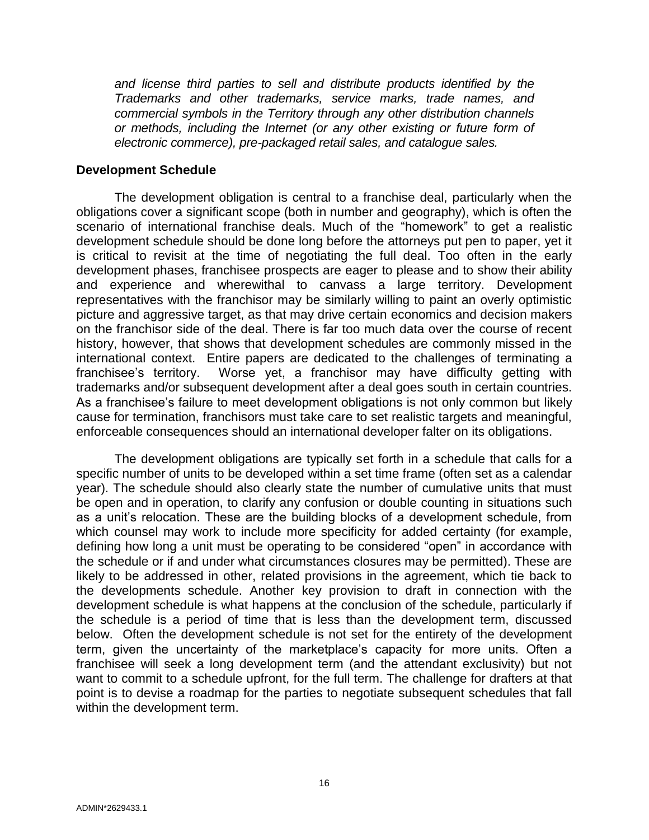*and license third parties to sell and distribute products identified by the Trademarks and other trademarks, service marks, trade names, and commercial symbols in the Territory through any other distribution channels or methods, including the Internet (or any other existing or future form of electronic commerce), pre-packaged retail sales, and catalogue sales.*

#### **Development Schedule**

The development obligation is central to a franchise deal, particularly when the obligations cover a significant scope (both in number and geography), which is often the scenario of international franchise deals. Much of the "homework" to get a realistic development schedule should be done long before the attorneys put pen to paper, yet it is critical to revisit at the time of negotiating the full deal. Too often in the early development phases, franchisee prospects are eager to please and to show their ability and experience and wherewithal to canvass a large territory. Development representatives with the franchisor may be similarly willing to paint an overly optimistic picture and aggressive target, as that may drive certain economics and decision makers on the franchisor side of the deal. There is far too much data over the course of recent history, however, that shows that development schedules are commonly missed in the international context. Entire papers are dedicated to the challenges of terminating a franchisee's territory. Worse yet, a franchisor may have difficulty getting with trademarks and/or subsequent development after a deal goes south in certain countries. As a franchisee's failure to meet development obligations is not only common but likely cause for termination, franchisors must take care to set realistic targets and meaningful, enforceable consequences should an international developer falter on its obligations.

The development obligations are typically set forth in a schedule that calls for a specific number of units to be developed within a set time frame (often set as a calendar year). The schedule should also clearly state the number of cumulative units that must be open and in operation, to clarify any confusion or double counting in situations such as a unit's relocation. These are the building blocks of a development schedule, from which counsel may work to include more specificity for added certainty (for example, defining how long a unit must be operating to be considered "open" in accordance with the schedule or if and under what circumstances closures may be permitted). These are likely to be addressed in other, related provisions in the agreement, which tie back to the developments schedule. Another key provision to draft in connection with the development schedule is what happens at the conclusion of the schedule, particularly if the schedule is a period of time that is less than the development term, discussed below. Often the development schedule is not set for the entirety of the development term, given the uncertainty of the marketplace's capacity for more units. Often a franchisee will seek a long development term (and the attendant exclusivity) but not want to commit to a schedule upfront, for the full term. The challenge for drafters at that point is to devise a roadmap for the parties to negotiate subsequent schedules that fall within the development term.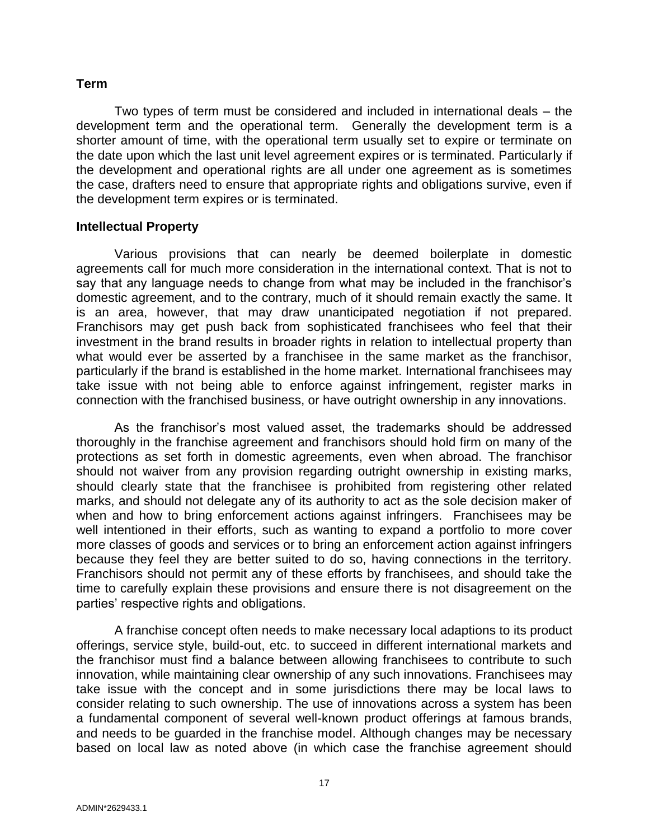#### **Term**

Two types of term must be considered and included in international deals – the development term and the operational term. Generally the development term is a shorter amount of time, with the operational term usually set to expire or terminate on the date upon which the last unit level agreement expires or is terminated. Particularly if the development and operational rights are all under one agreement as is sometimes the case, drafters need to ensure that appropriate rights and obligations survive, even if the development term expires or is terminated.

#### **Intellectual Property**

Various provisions that can nearly be deemed boilerplate in domestic agreements call for much more consideration in the international context. That is not to say that any language needs to change from what may be included in the franchisor's domestic agreement, and to the contrary, much of it should remain exactly the same. It is an area, however, that may draw unanticipated negotiation if not prepared. Franchisors may get push back from sophisticated franchisees who feel that their investment in the brand results in broader rights in relation to intellectual property than what would ever be asserted by a franchisee in the same market as the franchisor, particularly if the brand is established in the home market. International franchisees may take issue with not being able to enforce against infringement, register marks in connection with the franchised business, or have outright ownership in any innovations.

As the franchisor's most valued asset, the trademarks should be addressed thoroughly in the franchise agreement and franchisors should hold firm on many of the protections as set forth in domestic agreements, even when abroad. The franchisor should not waiver from any provision regarding outright ownership in existing marks, should clearly state that the franchisee is prohibited from registering other related marks, and should not delegate any of its authority to act as the sole decision maker of when and how to bring enforcement actions against infringers. Franchisees may be well intentioned in their efforts, such as wanting to expand a portfolio to more cover more classes of goods and services or to bring an enforcement action against infringers because they feel they are better suited to do so, having connections in the territory. Franchisors should not permit any of these efforts by franchisees, and should take the time to carefully explain these provisions and ensure there is not disagreement on the parties' respective rights and obligations.

A franchise concept often needs to make necessary local adaptions to its product offerings, service style, build-out, etc. to succeed in different international markets and the franchisor must find a balance between allowing franchisees to contribute to such innovation, while maintaining clear ownership of any such innovations. Franchisees may take issue with the concept and in some jurisdictions there may be local laws to consider relating to such ownership. The use of innovations across a system has been a fundamental component of several well-known product offerings at famous brands, and needs to be guarded in the franchise model. Although changes may be necessary based on local law as noted above (in which case the franchise agreement should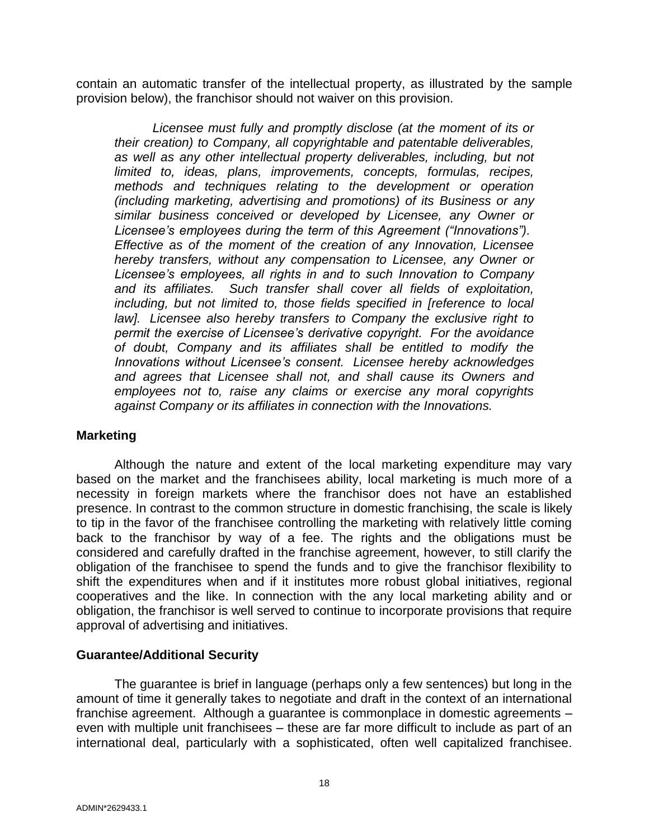contain an automatic transfer of the intellectual property, as illustrated by the sample provision below), the franchisor should not waiver on this provision.

*Licensee must fully and promptly disclose (at the moment of its or their creation) to Company, all copyrightable and patentable deliverables, as well as any other intellectual property deliverables, including, but not limited to, ideas, plans, improvements, concepts, formulas, recipes, methods and techniques relating to the development or operation (including marketing, advertising and promotions) of its Business or any similar business conceived or developed by Licensee, any Owner or Licensee's employees during the term of this Agreement ("Innovations"). Effective as of the moment of the creation of any Innovation, Licensee hereby transfers, without any compensation to Licensee, any Owner or Licensee's employees, all rights in and to such Innovation to Company and its affiliates. Such transfer shall cover all fields of exploitation, including, but not limited to, those fields specified in [reference to local law]. Licensee also hereby transfers to Company the exclusive right to permit the exercise of Licensee's derivative copyright. For the avoidance of doubt, Company and its affiliates shall be entitled to modify the Innovations without Licensee's consent. Licensee hereby acknowledges and agrees that Licensee shall not, and shall cause its Owners and employees not to, raise any claims or exercise any moral copyrights against Company or its affiliates in connection with the Innovations.*

## **Marketing**

Although the nature and extent of the local marketing expenditure may vary based on the market and the franchisees ability, local marketing is much more of a necessity in foreign markets where the franchisor does not have an established presence. In contrast to the common structure in domestic franchising, the scale is likely to tip in the favor of the franchisee controlling the marketing with relatively little coming back to the franchisor by way of a fee. The rights and the obligations must be considered and carefully drafted in the franchise agreement, however, to still clarify the obligation of the franchisee to spend the funds and to give the franchisor flexibility to shift the expenditures when and if it institutes more robust global initiatives, regional cooperatives and the like. In connection with the any local marketing ability and or obligation, the franchisor is well served to continue to incorporate provisions that require approval of advertising and initiatives.

## **Guarantee/Additional Security**

The guarantee is brief in language (perhaps only a few sentences) but long in the amount of time it generally takes to negotiate and draft in the context of an international franchise agreement. Although a guarantee is commonplace in domestic agreements – even with multiple unit franchisees – these are far more difficult to include as part of an international deal, particularly with a sophisticated, often well capitalized franchisee.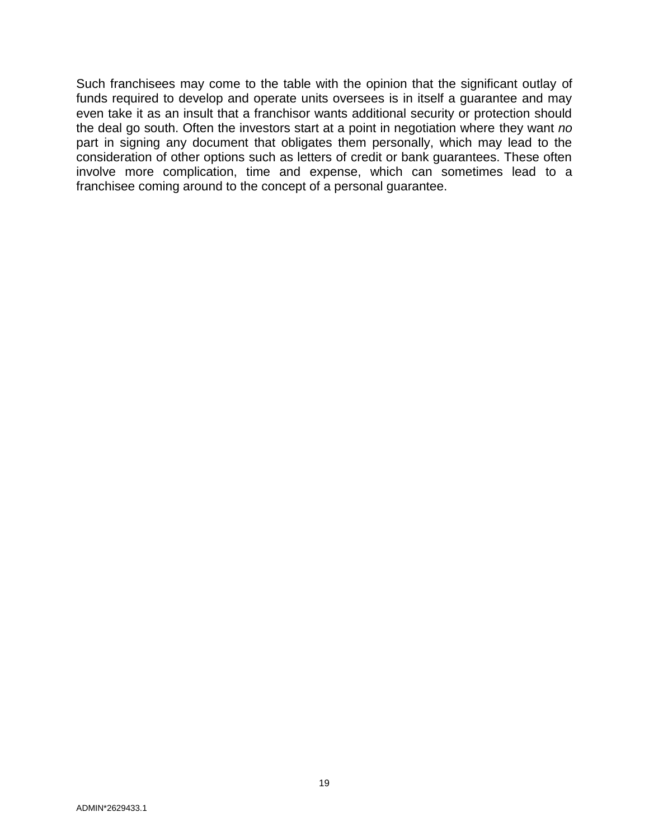Such franchisees may come to the table with the opinion that the significant outlay of funds required to develop and operate units oversees is in itself a guarantee and may even take it as an insult that a franchisor wants additional security or protection should the deal go south. Often the investors start at a point in negotiation where they want *no*  part in signing any document that obligates them personally, which may lead to the consideration of other options such as letters of credit or bank guarantees. These often involve more complication, time and expense, which can sometimes lead to a franchisee coming around to the concept of a personal guarantee.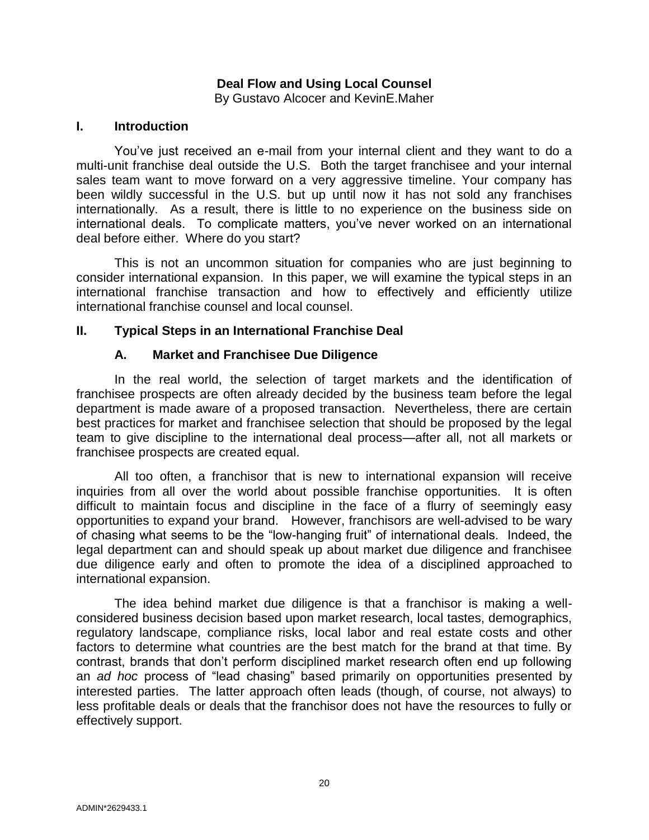## **Deal Flow and Using Local Counsel**

By Gustavo Alcocer and KevinE.Maher

#### <span id="page-21-0"></span>**I. Introduction**

You've just received an e-mail from your internal client and they want to do a multi-unit franchise deal outside the U.S. Both the target franchisee and your internal sales team want to move forward on a very aggressive timeline. Your company has been wildly successful in the U.S. but up until now it has not sold any franchises internationally. As a result, there is little to no experience on the business side on international deals. To complicate matters, you've never worked on an international deal before either. Where do you start?

This is not an uncommon situation for companies who are just beginning to consider international expansion. In this paper, we will examine the typical steps in an international franchise transaction and how to effectively and efficiently utilize international franchise counsel and local counsel.

#### **II. Typical Steps in an International Franchise Deal**

#### **A. Market and Franchisee Due Diligence**

In the real world, the selection of target markets and the identification of franchisee prospects are often already decided by the business team before the legal department is made aware of a proposed transaction. Nevertheless, there are certain best practices for market and franchisee selection that should be proposed by the legal team to give discipline to the international deal process—after all, not all markets or franchisee prospects are created equal.

All too often, a franchisor that is new to international expansion will receive inquiries from all over the world about possible franchise opportunities. It is often difficult to maintain focus and discipline in the face of a flurry of seemingly easy opportunities to expand your brand. However, franchisors are well-advised to be wary of chasing what seems to be the "low-hanging fruit" of international deals. Indeed, the legal department can and should speak up about market due diligence and franchisee due diligence early and often to promote the idea of a disciplined approached to international expansion.

The idea behind market due diligence is that a franchisor is making a wellconsidered business decision based upon market research, local tastes, demographics, regulatory landscape, compliance risks, local labor and real estate costs and other factors to determine what countries are the best match for the brand at that time. By contrast, brands that don't perform disciplined market research often end up following an *ad hoc* process of "lead chasing" based primarily on opportunities presented by interested parties. The latter approach often leads (though, of course, not always) to less profitable deals or deals that the franchisor does not have the resources to fully or effectively support.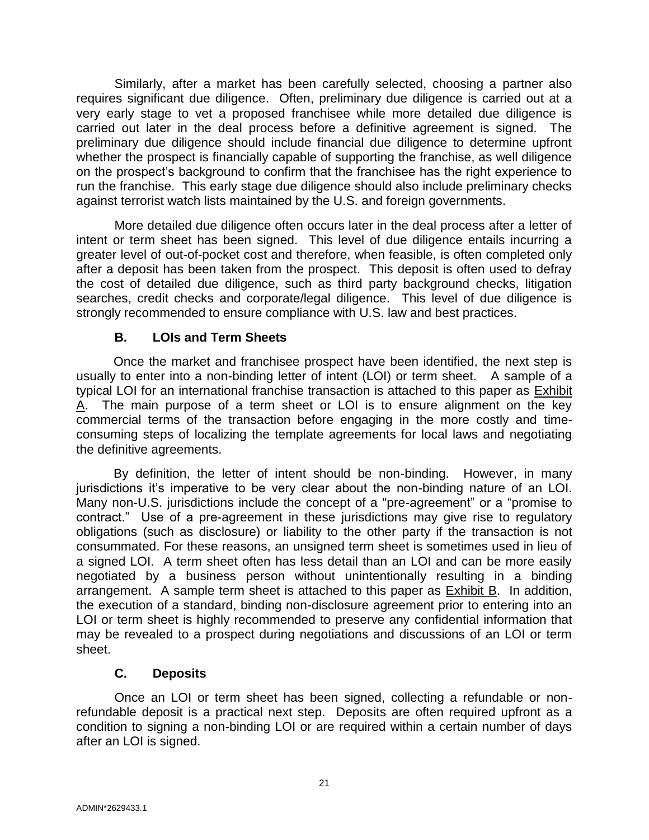Similarly, after a market has been carefully selected, choosing a partner also requires significant due diligence. Often, preliminary due diligence is carried out at a very early stage to vet a proposed franchisee while more detailed due diligence is carried out later in the deal process before a definitive agreement is signed. The preliminary due diligence should include financial due diligence to determine upfront whether the prospect is financially capable of supporting the franchise, as well diligence on the prospect's background to confirm that the franchisee has the right experience to run the franchise. This early stage due diligence should also include preliminary checks against terrorist watch lists maintained by the U.S. and foreign governments.

More detailed due diligence often occurs later in the deal process after a letter of intent or term sheet has been signed. This level of due diligence entails incurring a greater level of out-of-pocket cost and therefore, when feasible, is often completed only after a deposit has been taken from the prospect. This deposit is often used to defray the cost of detailed due diligence, such as third party background checks, litigation searches, credit checks and corporate/legal diligence. This level of due diligence is strongly recommended to ensure compliance with U.S. law and best practices.

## **B. LOIs and Term Sheets**

Once the market and franchisee prospect have been identified, the next step is usually to enter into a non-binding letter of intent (LOI) or term sheet. A sample of a typical LOI for an international franchise transaction is attached to this paper as Exhibit A. The main purpose of a term sheet or LOI is to ensure alignment on the key commercial terms of the transaction before engaging in the more costly and timeconsuming steps of localizing the template agreements for local laws and negotiating the definitive agreements.

By definition, the letter of intent should be non-binding. However, in many jurisdictions it's imperative to be very clear about the non-binding nature of an LOI. Many non-U.S. jurisdictions include the concept of a "pre-agreement" or a "promise to contract." Use of a pre-agreement in these jurisdictions may give rise to regulatory obligations (such as disclosure) or liability to the other party if the transaction is not consummated. For these reasons, an unsigned term sheet is sometimes used in lieu of a signed LOI. A term sheet often has less detail than an LOI and can be more easily negotiated by a business person without unintentionally resulting in a binding arrangement. A sample term sheet is attached to this paper as Exhibit B. In addition, the execution of a standard, binding non-disclosure agreement prior to entering into an LOI or term sheet is highly recommended to preserve any confidential information that may be revealed to a prospect during negotiations and discussions of an LOI or term sheet.

## **C. Deposits**

Once an LOI or term sheet has been signed, collecting a refundable or nonrefundable deposit is a practical next step. Deposits are often required upfront as a condition to signing a non-binding LOI or are required within a certain number of days after an LOI is signed.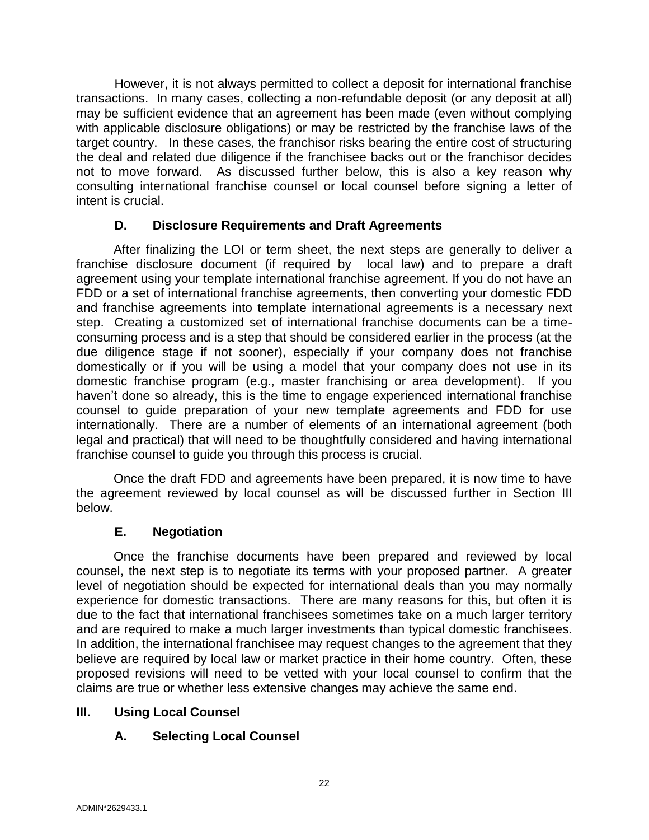However, it is not always permitted to collect a deposit for international franchise transactions. In many cases, collecting a non-refundable deposit (or any deposit at all) may be sufficient evidence that an agreement has been made (even without complying with applicable disclosure obligations) or may be restricted by the franchise laws of the target country. In these cases, the franchisor risks bearing the entire cost of structuring the deal and related due diligence if the franchisee backs out or the franchisor decides not to move forward. As discussed further below, this is also a key reason why consulting international franchise counsel or local counsel before signing a letter of intent is crucial.

## **D. Disclosure Requirements and Draft Agreements**

After finalizing the LOI or term sheet, the next steps are generally to deliver a franchise disclosure document (if required by local law) and to prepare a draft agreement using your template international franchise agreement. If you do not have an FDD or a set of international franchise agreements, then converting your domestic FDD and franchise agreements into template international agreements is a necessary next step. Creating a customized set of international franchise documents can be a timeconsuming process and is a step that should be considered earlier in the process (at the due diligence stage if not sooner), especially if your company does not franchise domestically or if you will be using a model that your company does not use in its domestic franchise program (e.g., master franchising or area development). If you haven't done so already, this is the time to engage experienced international franchise counsel to guide preparation of your new template agreements and FDD for use internationally. There are a number of elements of an international agreement (both legal and practical) that will need to be thoughtfully considered and having international franchise counsel to guide you through this process is crucial.

Once the draft FDD and agreements have been prepared, it is now time to have the agreement reviewed by local counsel as will be discussed further in Section III below.

## **E. Negotiation**

Once the franchise documents have been prepared and reviewed by local counsel, the next step is to negotiate its terms with your proposed partner. A greater level of negotiation should be expected for international deals than you may normally experience for domestic transactions. There are many reasons for this, but often it is due to the fact that international franchisees sometimes take on a much larger territory and are required to make a much larger investments than typical domestic franchisees. In addition, the international franchisee may request changes to the agreement that they believe are required by local law or market practice in their home country. Often, these proposed revisions will need to be vetted with your local counsel to confirm that the claims are true or whether less extensive changes may achieve the same end.

## **III. Using Local Counsel**

## **A. Selecting Local Counsel**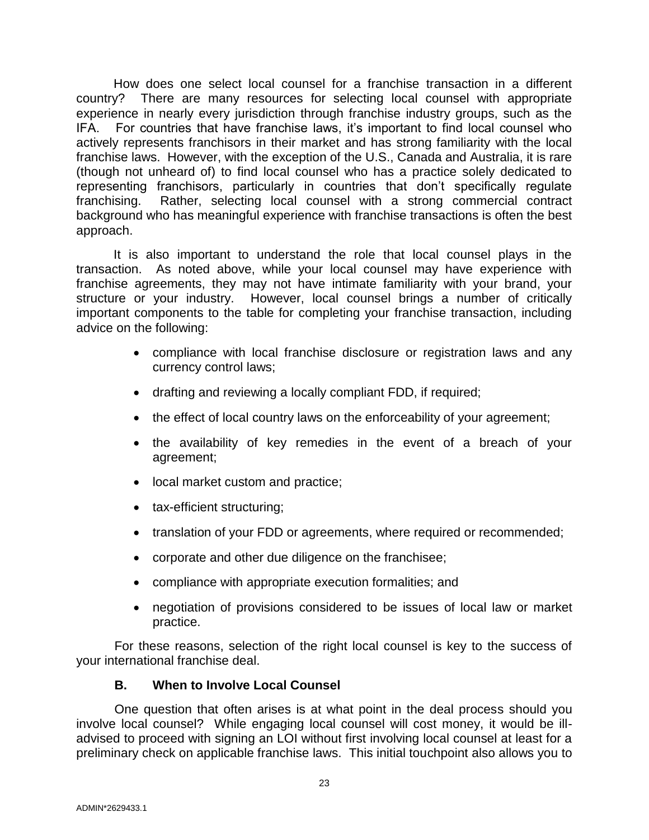How does one select local counsel for a franchise transaction in a different country? There are many resources for selecting local counsel with appropriate experience in nearly every jurisdiction through franchise industry groups, such as the IFA. For countries that have franchise laws, it's important to find local counsel who actively represents franchisors in their market and has strong familiarity with the local franchise laws. However, with the exception of the U.S., Canada and Australia, it is rare (though not unheard of) to find local counsel who has a practice solely dedicated to representing franchisors, particularly in countries that don't specifically regulate franchising. Rather, selecting local counsel with a strong commercial contract background who has meaningful experience with franchise transactions is often the best approach.

It is also important to understand the role that local counsel plays in the transaction. As noted above, while your local counsel may have experience with franchise agreements, they may not have intimate familiarity with your brand, your structure or your industry. However, local counsel brings a number of critically important components to the table for completing your franchise transaction, including advice on the following:

- compliance with local franchise disclosure or registration laws and any currency control laws;
- drafting and reviewing a locally compliant FDD, if required;
- the effect of local country laws on the enforceability of your agreement;
- the availability of key remedies in the event of a breach of your agreement;
- local market custom and practice;
- tax-efficient structuring;
- translation of your FDD or agreements, where required or recommended;
- corporate and other due diligence on the franchisee;
- compliance with appropriate execution formalities; and
- negotiation of provisions considered to be issues of local law or market practice.

For these reasons, selection of the right local counsel is key to the success of your international franchise deal.

## **B. When to Involve Local Counsel**

One question that often arises is at what point in the deal process should you involve local counsel? While engaging local counsel will cost money, it would be illadvised to proceed with signing an LOI without first involving local counsel at least for a preliminary check on applicable franchise laws. This initial touchpoint also allows you to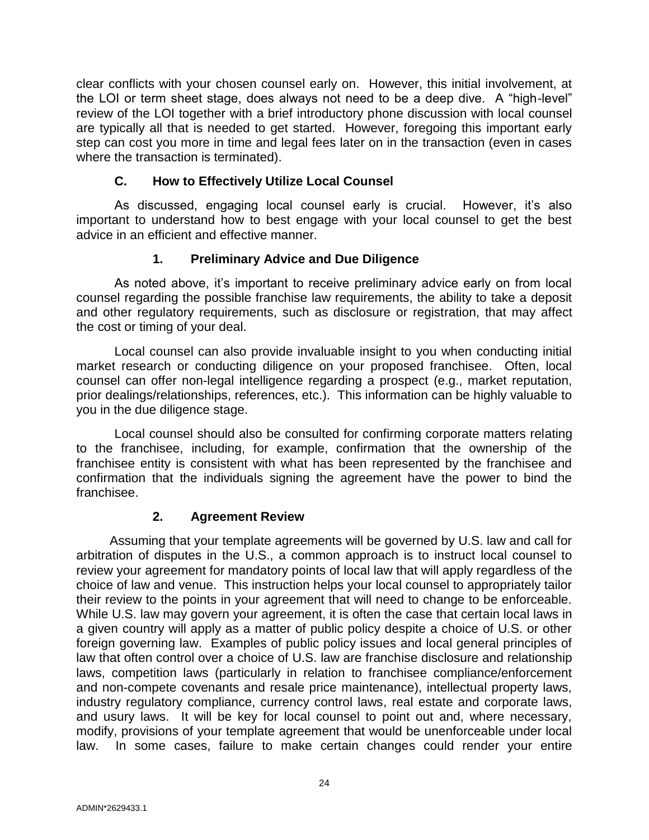clear conflicts with your chosen counsel early on. However, this initial involvement, at the LOI or term sheet stage, does always not need to be a deep dive. A "high-level" review of the LOI together with a brief introductory phone discussion with local counsel are typically all that is needed to get started. However, foregoing this important early step can cost you more in time and legal fees later on in the transaction (even in cases where the transaction is terminated).

## **C. How to Effectively Utilize Local Counsel**

As discussed, engaging local counsel early is crucial. However, it's also important to understand how to best engage with your local counsel to get the best advice in an efficient and effective manner.

## **1. Preliminary Advice and Due Diligence**

As noted above, it's important to receive preliminary advice early on from local counsel regarding the possible franchise law requirements, the ability to take a deposit and other regulatory requirements, such as disclosure or registration, that may affect the cost or timing of your deal.

Local counsel can also provide invaluable insight to you when conducting initial market research or conducting diligence on your proposed franchisee. Often, local counsel can offer non-legal intelligence regarding a prospect (e.g., market reputation, prior dealings/relationships, references, etc.). This information can be highly valuable to you in the due diligence stage.

Local counsel should also be consulted for confirming corporate matters relating to the franchisee, including, for example, confirmation that the ownership of the franchisee entity is consistent with what has been represented by the franchisee and confirmation that the individuals signing the agreement have the power to bind the franchisee.

## **2. Agreement Review**

Assuming that your template agreements will be governed by U.S. law and call for arbitration of disputes in the U.S., a common approach is to instruct local counsel to review your agreement for mandatory points of local law that will apply regardless of the choice of law and venue. This instruction helps your local counsel to appropriately tailor their review to the points in your agreement that will need to change to be enforceable. While U.S. law may govern your agreement, it is often the case that certain local laws in a given country will apply as a matter of public policy despite a choice of U.S. or other foreign governing law. Examples of public policy issues and local general principles of law that often control over a choice of U.S. law are franchise disclosure and relationship laws, competition laws (particularly in relation to franchisee compliance/enforcement and non-compete covenants and resale price maintenance), intellectual property laws, industry regulatory compliance, currency control laws, real estate and corporate laws, and usury laws. It will be key for local counsel to point out and, where necessary, modify, provisions of your template agreement that would be unenforceable under local law. In some cases, failure to make certain changes could render your entire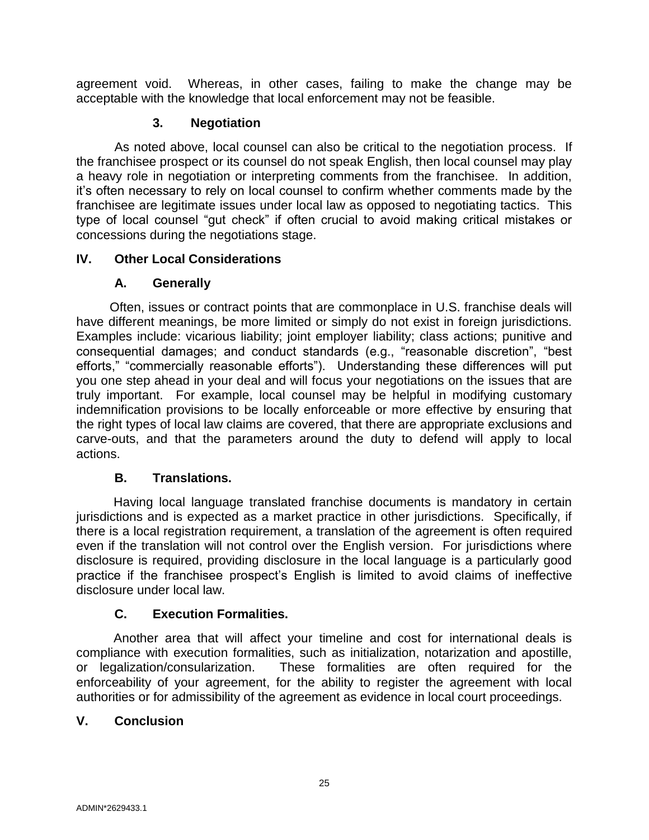agreement void. Whereas, in other cases, failing to make the change may be acceptable with the knowledge that local enforcement may not be feasible.

## **3. Negotiation**

As noted above, local counsel can also be critical to the negotiation process. If the franchisee prospect or its counsel do not speak English, then local counsel may play a heavy role in negotiation or interpreting comments from the franchisee. In addition, it's often necessary to rely on local counsel to confirm whether comments made by the franchisee are legitimate issues under local law as opposed to negotiating tactics. This type of local counsel "gut check" if often crucial to avoid making critical mistakes or concessions during the negotiations stage.

## **IV. Other Local Considerations**

## **A. Generally**

Often, issues or contract points that are commonplace in U.S. franchise deals will have different meanings, be more limited or simply do not exist in foreign jurisdictions. Examples include: vicarious liability; joint employer liability; class actions; punitive and consequential damages; and conduct standards (e.g., "reasonable discretion", "best efforts," "commercially reasonable efforts"). Understanding these differences will put you one step ahead in your deal and will focus your negotiations on the issues that are truly important. For example, local counsel may be helpful in modifying customary indemnification provisions to be locally enforceable or more effective by ensuring that the right types of local law claims are covered, that there are appropriate exclusions and carve-outs, and that the parameters around the duty to defend will apply to local actions.

## **B. Translations.**

Having local language translated franchise documents is mandatory in certain jurisdictions and is expected as a market practice in other jurisdictions. Specifically, if there is a local registration requirement, a translation of the agreement is often required even if the translation will not control over the English version. For jurisdictions where disclosure is required, providing disclosure in the local language is a particularly good practice if the franchisee prospect's English is limited to avoid claims of ineffective disclosure under local law.

## **C. Execution Formalities.**

Another area that will affect your timeline and cost for international deals is compliance with execution formalities, such as initialization, notarization and apostille, or legalization/consularization. These formalities are often required for the enforceability of your agreement, for the ability to register the agreement with local authorities or for admissibility of the agreement as evidence in local court proceedings.

## **V. Conclusion**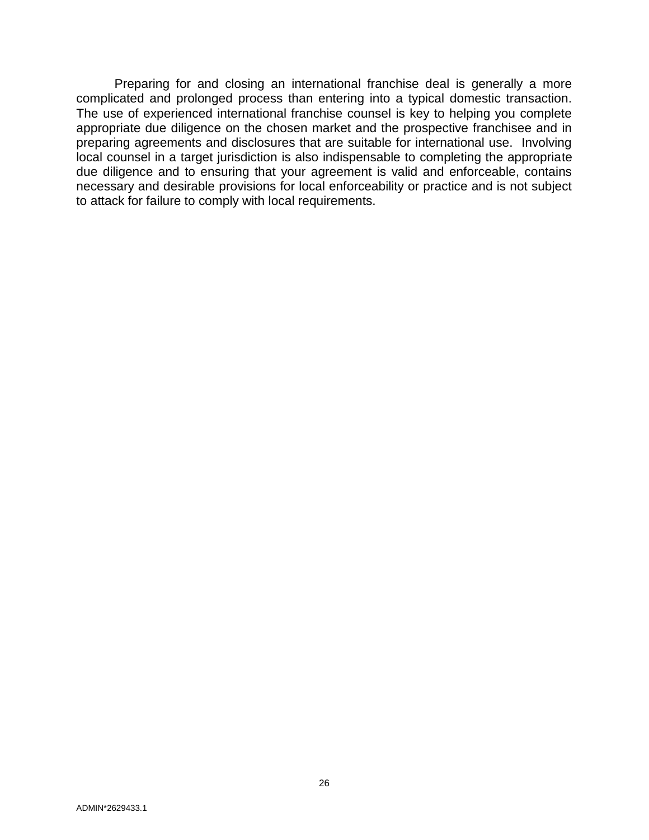Preparing for and closing an international franchise deal is generally a more complicated and prolonged process than entering into a typical domestic transaction. The use of experienced international franchise counsel is key to helping you complete appropriate due diligence on the chosen market and the prospective franchisee and in preparing agreements and disclosures that are suitable for international use. Involving local counsel in a target jurisdiction is also indispensable to completing the appropriate due diligence and to ensuring that your agreement is valid and enforceable, contains necessary and desirable provisions for local enforceability or practice and is not subject to attack for failure to comply with local requirements.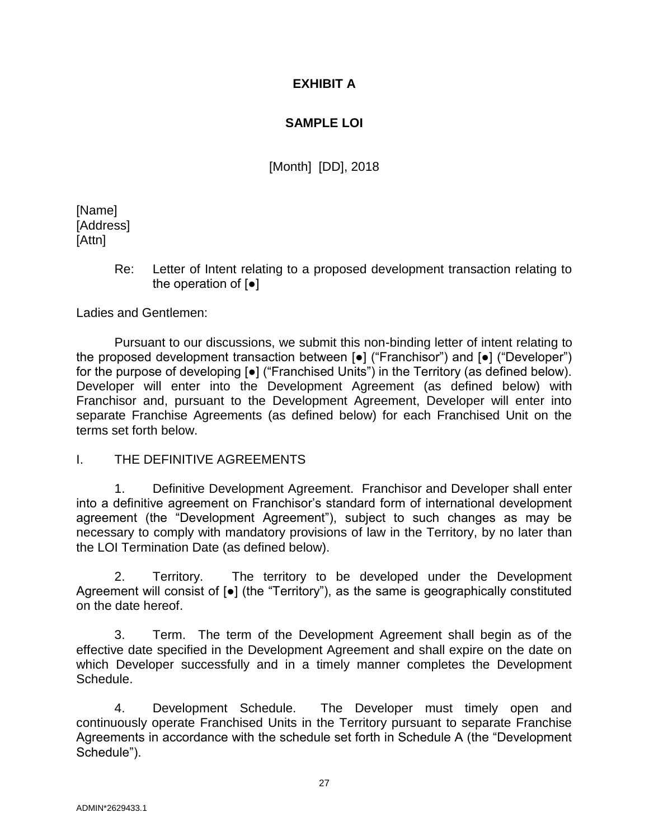## **EXHIBIT A**

## **SAMPLE LOI**

[Month] [DD], 2018

[Name] [Address] [Attn]

> Re: Letter of Intent relating to a proposed development transaction relating to the operation of [●]

Ladies and Gentlemen:

Pursuant to our discussions, we submit this non-binding letter of intent relating to the proposed development transaction between [●] ("Franchisor") and [●] ("Developer") for the purpose of developing [●] ("Franchised Units") in the Territory (as defined below). Developer will enter into the Development Agreement (as defined below) with Franchisor and, pursuant to the Development Agreement, Developer will enter into separate Franchise Agreements (as defined below) for each Franchised Unit on the terms set forth below.

I. THE DEFINITIVE AGREEMENTS

1. Definitive Development Agreement. Franchisor and Developer shall enter into a definitive agreement on Franchisor's standard form of international development agreement (the "Development Agreement"), subject to such changes as may be necessary to comply with mandatory provisions of law in the Territory, by no later than the LOI Termination Date (as defined below).

2. Territory. The territory to be developed under the Development Agreement will consist of [●] (the "Territory"), as the same is geographically constituted on the date hereof.

3. Term. The term of the Development Agreement shall begin as of the effective date specified in the Development Agreement and shall expire on the date on which Developer successfully and in a timely manner completes the Development Schedule.

4. Development Schedule. The Developer must timely open and continuously operate Franchised Units in the Territory pursuant to separate Franchise Agreements in accordance with the schedule set forth in Schedule A (the "Development Schedule").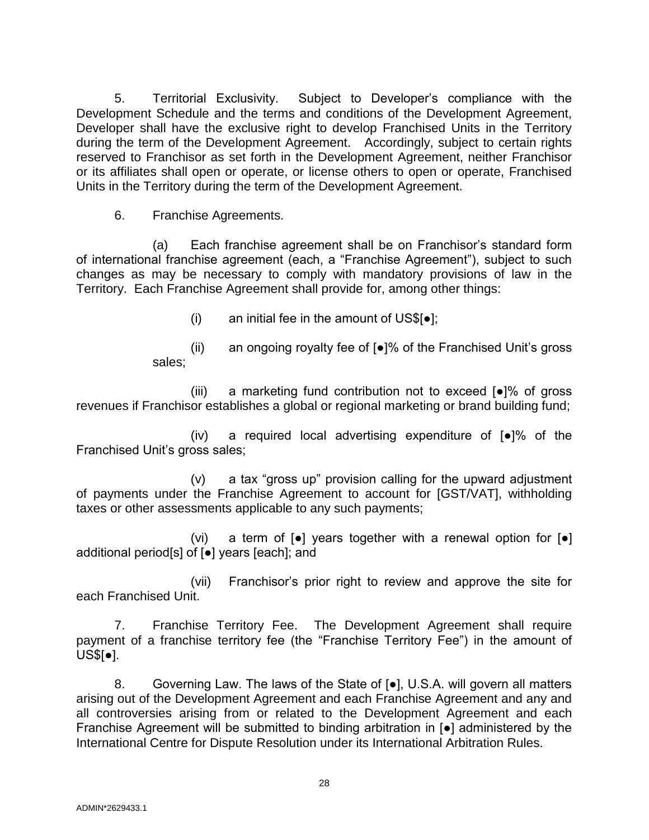5. Territorial Exclusivity. Subject to Developer's compliance with the Development Schedule and the terms and conditions of the Development Agreement, Developer shall have the exclusive right to develop Franchised Units in the Territory during the term of the Development Agreement. Accordingly, subject to certain rights reserved to Franchisor as set forth in the Development Agreement, neither Franchisor or its affiliates shall open or operate, or license others to open or operate, Franchised Units in the Territory during the term of the Development Agreement.

6. Franchise Agreements.

(a) Each franchise agreement shall be on Franchisor's standard form of international franchise agreement (each, a "Franchise Agreement"), subject to such changes as may be necessary to comply with mandatory provisions of law in the Territory. Each Franchise Agreement shall provide for, among other things:

(i) an initial fee in the amount of  $US\$ [ $\bullet$ ];

(ii) an ongoing royalty fee of [●]% of the Franchised Unit's gross sales;

(iii) a marketing fund contribution not to exceed [●]% of gross revenues if Franchisor establishes a global or regional marketing or brand building fund;

(iv) a required local advertising expenditure of [●]% of the Franchised Unit's gross sales;

(v) a tax "gross up" provision calling for the upward adjustment of payments under the Franchise Agreement to account for [GST/VAT], withholding taxes or other assessments applicable to any such payments;

(vi) a term of  $\lceil \bullet \rceil$  years together with a renewal option for  $\lceil \bullet \rceil$ additional period[s] of [●] years [each]; and

(vii) Franchisor's prior right to review and approve the site for each Franchised Unit.

7. Franchise Territory Fee. The Development Agreement shall require payment of a franchise territory fee (the "Franchise Territory Fee") in the amount of US\$[●].

8. Governing Law. The laws of the State of [●], U.S.A. will govern all matters arising out of the Development Agreement and each Franchise Agreement and any and all controversies arising from or related to the Development Agreement and each Franchise Agreement will be submitted to binding arbitration in [●] administered by the International Centre for Dispute Resolution under its International Arbitration Rules.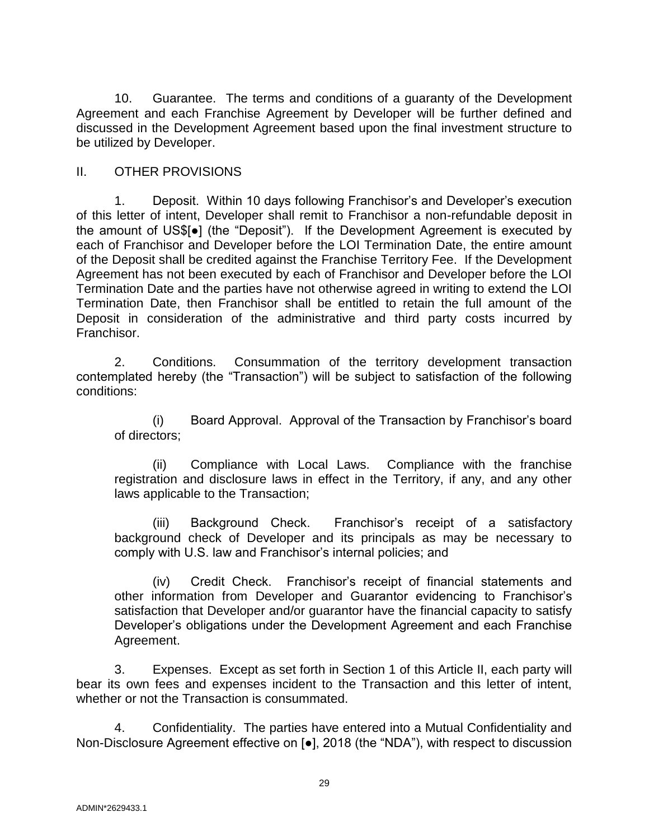10. Guarantee. The terms and conditions of a guaranty of the Development Agreement and each Franchise Agreement by Developer will be further defined and discussed in the Development Agreement based upon the final investment structure to be utilized by Developer.

## II. OTHER PROVISIONS

1. Deposit. Within 10 days following Franchisor's and Developer's execution of this letter of intent, Developer shall remit to Franchisor a non-refundable deposit in the amount of US\$[●] (the "Deposit"). If the Development Agreement is executed by each of Franchisor and Developer before the LOI Termination Date, the entire amount of the Deposit shall be credited against the Franchise Territory Fee. If the Development Agreement has not been executed by each of Franchisor and Developer before the LOI Termination Date and the parties have not otherwise agreed in writing to extend the LOI Termination Date, then Franchisor shall be entitled to retain the full amount of the Deposit in consideration of the administrative and third party costs incurred by Franchisor.

2. Conditions. Consummation of the territory development transaction contemplated hereby (the "Transaction") will be subject to satisfaction of the following conditions:

(i) Board Approval. Approval of the Transaction by Franchisor's board of directors;

(ii) Compliance with Local Laws. Compliance with the franchise registration and disclosure laws in effect in the Territory, if any, and any other laws applicable to the Transaction;

(iii) Background Check. Franchisor's receipt of a satisfactory background check of Developer and its principals as may be necessary to comply with U.S. law and Franchisor's internal policies; and

(iv) Credit Check. Franchisor's receipt of financial statements and other information from Developer and Guarantor evidencing to Franchisor's satisfaction that Developer and/or guarantor have the financial capacity to satisfy Developer's obligations under the Development Agreement and each Franchise Agreement.

3. Expenses. Except as set forth in Section 1 of this Article II, each party will bear its own fees and expenses incident to the Transaction and this letter of intent, whether or not the Transaction is consummated.

4. Confidentiality. The parties have entered into a Mutual Confidentiality and Non-Disclosure Agreement effective on [●], 2018 (the "NDA"), with respect to discussion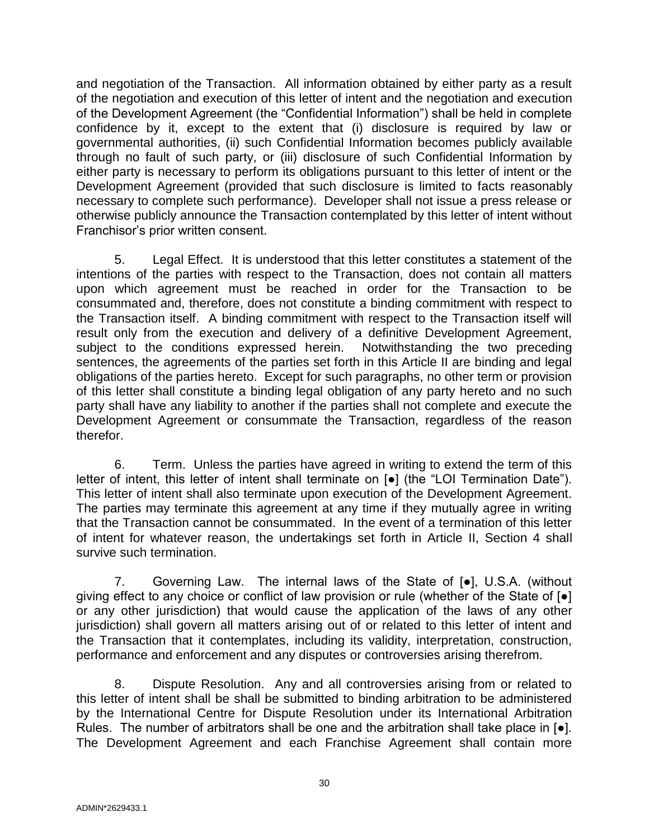and negotiation of the Transaction. All information obtained by either party as a result of the negotiation and execution of this letter of intent and the negotiation and execution of the Development Agreement (the "Confidential Information") shall be held in complete confidence by it, except to the extent that (i) disclosure is required by law or governmental authorities, (ii) such Confidential Information becomes publicly available through no fault of such party, or (iii) disclosure of such Confidential Information by either party is necessary to perform its obligations pursuant to this letter of intent or the Development Agreement (provided that such disclosure is limited to facts reasonably necessary to complete such performance). Developer shall not issue a press release or otherwise publicly announce the Transaction contemplated by this letter of intent without Franchisor's prior written consent.

5. Legal Effect. It is understood that this letter constitutes a statement of the intentions of the parties with respect to the Transaction, does not contain all matters upon which agreement must be reached in order for the Transaction to be consummated and, therefore, does not constitute a binding commitment with respect to the Transaction itself. A binding commitment with respect to the Transaction itself will result only from the execution and delivery of a definitive Development Agreement, subject to the conditions expressed herein. Notwithstanding the two preceding sentences, the agreements of the parties set forth in this Article II are binding and legal obligations of the parties hereto. Except for such paragraphs, no other term or provision of this letter shall constitute a binding legal obligation of any party hereto and no such party shall have any liability to another if the parties shall not complete and execute the Development Agreement or consummate the Transaction, regardless of the reason therefor.

6. Term. Unless the parties have agreed in writing to extend the term of this letter of intent, this letter of intent shall terminate on [●] (the "LOI Termination Date"). This letter of intent shall also terminate upon execution of the Development Agreement. The parties may terminate this agreement at any time if they mutually agree in writing that the Transaction cannot be consummated. In the event of a termination of this letter of intent for whatever reason, the undertakings set forth in Article II, Section 4 shall survive such termination.

7. Governing Law. The internal laws of the State of [●], U.S.A. (without giving effect to any choice or conflict of law provision or rule (whether of the State of [●] or any other jurisdiction) that would cause the application of the laws of any other jurisdiction) shall govern all matters arising out of or related to this letter of intent and the Transaction that it contemplates, including its validity, interpretation, construction, performance and enforcement and any disputes or controversies arising therefrom.

8. Dispute Resolution. Any and all controversies arising from or related to this letter of intent shall be shall be submitted to binding arbitration to be administered by the International Centre for Dispute Resolution under its International Arbitration Rules. The number of arbitrators shall be one and the arbitration shall take place in  $\lceil \bullet \rceil$ . The Development Agreement and each Franchise Agreement shall contain more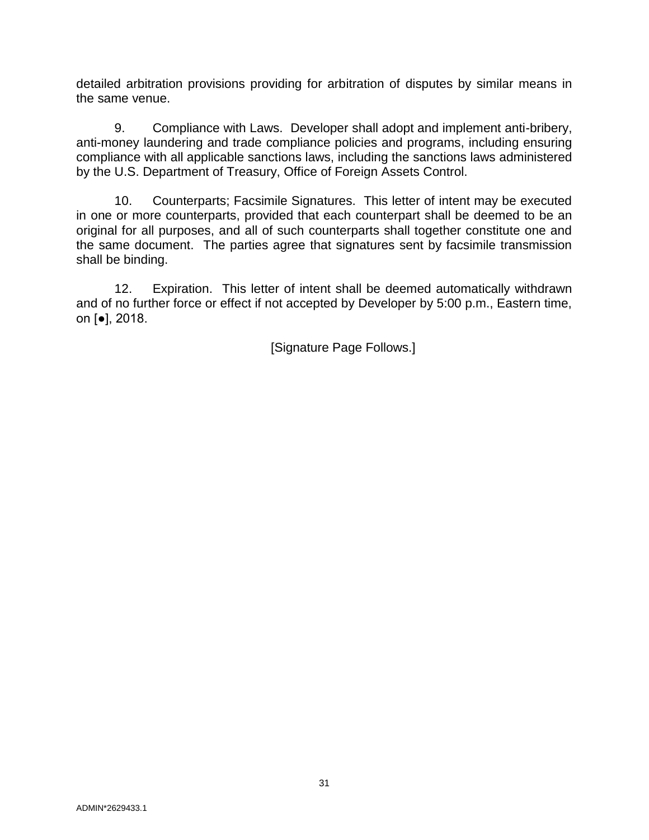detailed arbitration provisions providing for arbitration of disputes by similar means in the same venue.

9. Compliance with Laws. Developer shall adopt and implement anti-bribery, anti-money laundering and trade compliance policies and programs, including ensuring compliance with all applicable sanctions laws, including the sanctions laws administered by the U.S. Department of Treasury, Office of Foreign Assets Control.

10. Counterparts; Facsimile Signatures. This letter of intent may be executed in one or more counterparts, provided that each counterpart shall be deemed to be an original for all purposes, and all of such counterparts shall together constitute one and the same document. The parties agree that signatures sent by facsimile transmission shall be binding.

12. Expiration. This letter of intent shall be deemed automatically withdrawn and of no further force or effect if not accepted by Developer by 5:00 p.m., Eastern time, on [●], 2018.

[Signature Page Follows.]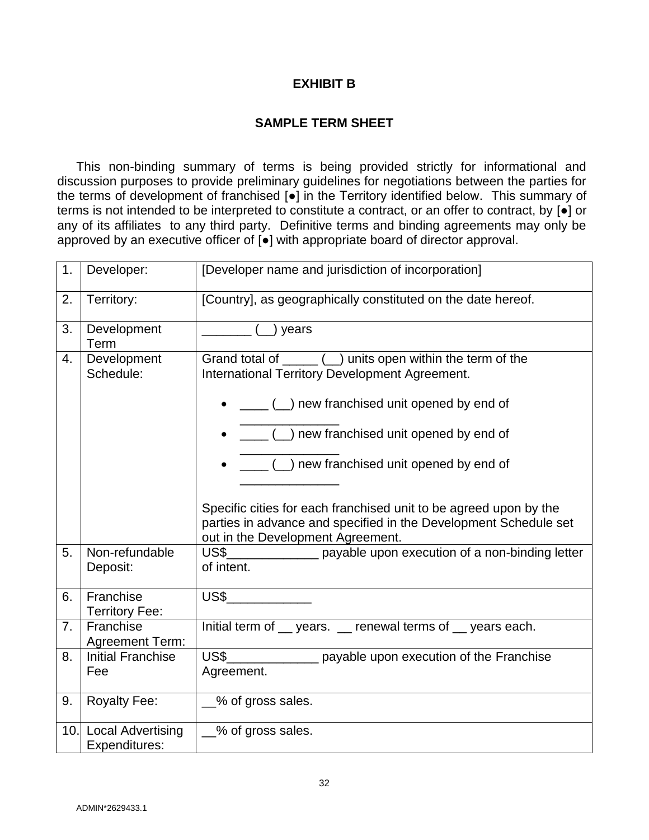## **EXHIBIT B**

## **SAMPLE TERM SHEET**

This non-binding summary of terms is being provided strictly for informational and discussion purposes to provide preliminary guidelines for negotiations between the parties for the terms of development of franchised [●] in the Territory identified below. This summary of terms is not intended to be interpreted to constitute a contract, or an offer to contract, by [●] or any of its affiliates to any third party. Definitive terms and binding agreements may only be approved by an executive officer of [●] with appropriate board of director approval.

| 1. | Developer:                             | [Developer name and jurisdiction of incorporation]                                                                                                                         |
|----|----------------------------------------|----------------------------------------------------------------------------------------------------------------------------------------------------------------------------|
| 2. | Territory:                             | [Country], as geographically constituted on the date hereof.                                                                                                               |
| 3. | Development<br>Term                    | $(\_)$ years                                                                                                                                                               |
| 4. | Development<br>Schedule:               | Grand total of $\sqrt{2}$ ( $\sqrt{2}$ ) units open within the term of the<br>International Territory Development Agreement.<br>() new franchised unit opened by end of    |
|    |                                        | $\sqrt{a}$ ( $\Box$ ) new franchised unit opened by end of                                                                                                                 |
|    |                                        | ( ) new franchised unit opened by end of                                                                                                                                   |
|    |                                        | Specific cities for each franchised unit to be agreed upon by the<br>parties in advance and specified in the Development Schedule set<br>out in the Development Agreement. |
| 5. | Non-refundable<br>Deposit:             | US\$_________________ payable upon execution of a non-binding letter<br>of intent.                                                                                         |
| 6. | Franchise<br><b>Territory Fee:</b>     | US\$                                                                                                                                                                       |
| 7. | Franchise<br><b>Agreement Term:</b>    | Initial term of years. _ renewal terms of years each.                                                                                                                      |
| 8. | <b>Initial Franchise</b><br>Fee        | US\$<br>payable upon execution of the Franchise<br>Agreement.                                                                                                              |
| 9. | <b>Royalty Fee:</b>                    | __% of gross sales.                                                                                                                                                        |
|    | 10. Local Advertising<br>Expenditures: | _% of gross sales.                                                                                                                                                         |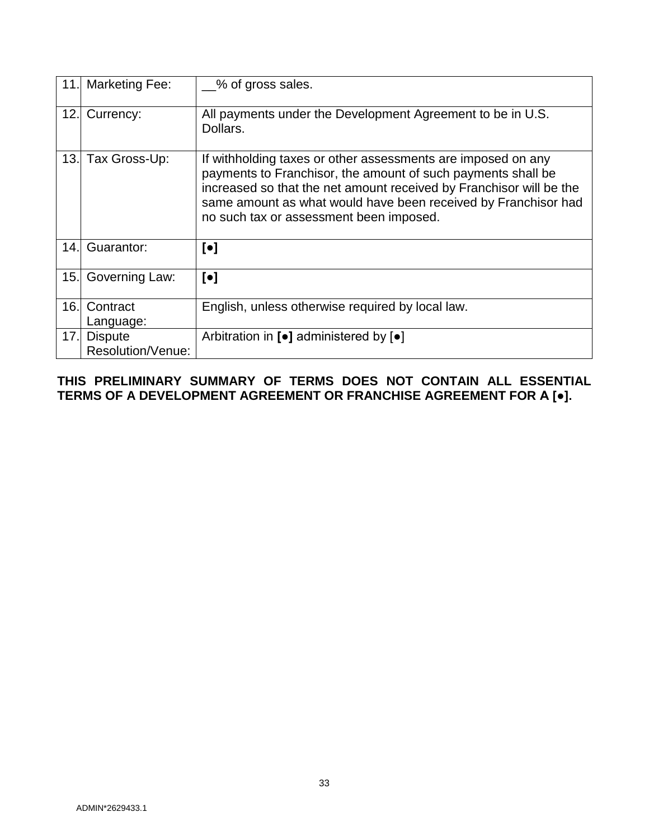|      | 11. Marketing Fee:                  | % of gross sales.                                                                                                                                                                                                                                                                                                |
|------|-------------------------------------|------------------------------------------------------------------------------------------------------------------------------------------------------------------------------------------------------------------------------------------------------------------------------------------------------------------|
| 12.1 | Currency:                           | All payments under the Development Agreement to be in U.S.<br>Dollars.                                                                                                                                                                                                                                           |
| 13.1 | Tax Gross-Up:                       | If withholding taxes or other assessments are imposed on any<br>payments to Franchisor, the amount of such payments shall be<br>increased so that the net amount received by Franchisor will be the<br>same amount as what would have been received by Franchisor had<br>no such tax or assessment been imposed. |
| 14.1 | Guarantor:                          | $\lbrack \bullet \rbrack$                                                                                                                                                                                                                                                                                        |
| 15.  | Governing Law:                      | $\lbrack \bullet \rbrack$                                                                                                                                                                                                                                                                                        |
| 16.  | Contract<br>Language:               | English, unless otherwise required by local law.                                                                                                                                                                                                                                                                 |
| 17.  | <b>Dispute</b><br>Resolution/Venue: | Arbitration in $\lbrack\bullet\rbrack$ administered by $\lbrack\bullet\rbrack$                                                                                                                                                                                                                                   |

## **THIS PRELIMINARY SUMMARY OF TERMS DOES NOT CONTAIN ALL ESSENTIAL TERMS OF A DEVELOPMENT AGREEMENT OR FRANCHISE AGREEMENT FOR A [●].**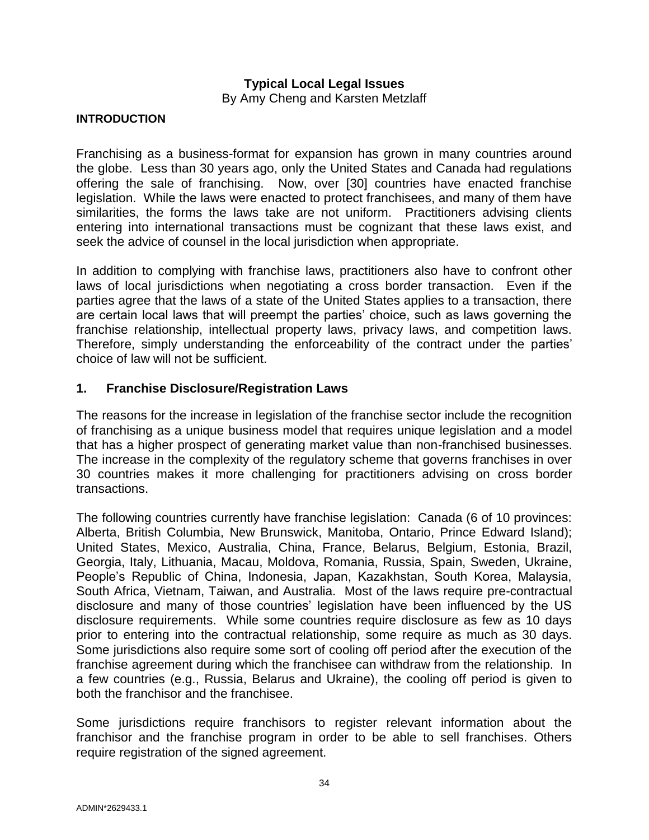## **Typical Local Legal Issues**

By Amy Cheng and Karsten Metzlaff

#### <span id="page-35-0"></span>**INTRODUCTION**

Franchising as a business-format for expansion has grown in many countries around the globe. Less than 30 years ago, only the United States and Canada had regulations offering the sale of franchising. Now, over [30] countries have enacted franchise legislation. While the laws were enacted to protect franchisees, and many of them have similarities, the forms the laws take are not uniform. Practitioners advising clients entering into international transactions must be cognizant that these laws exist, and seek the advice of counsel in the local jurisdiction when appropriate.

In addition to complying with franchise laws, practitioners also have to confront other laws of local jurisdictions when negotiating a cross border transaction. Even if the parties agree that the laws of a state of the United States applies to a transaction, there are certain local laws that will preempt the parties' choice, such as laws governing the franchise relationship, intellectual property laws, privacy laws, and competition laws. Therefore, simply understanding the enforceability of the contract under the parties' choice of law will not be sufficient.

#### **1. Franchise Disclosure/Registration Laws**

The reasons for the increase in legislation of the franchise sector include the recognition of franchising as a unique business model that requires unique legislation and a model that has a higher prospect of generating market value than non-franchised businesses. The increase in the complexity of the regulatory scheme that governs franchises in over 30 countries makes it more challenging for practitioners advising on cross border transactions.

The following countries currently have franchise legislation: Canada (6 of 10 provinces: Alberta, British Columbia, New Brunswick, Manitoba, Ontario, Prince Edward Island); United States, Mexico, Australia, China, France, Belarus, Belgium, Estonia, Brazil, Georgia, Italy, Lithuania, Macau, Moldova, Romania, Russia, Spain, Sweden, Ukraine, People's Republic of China, Indonesia, Japan, Kazakhstan, South Korea, Malaysia, South Africa, Vietnam, Taiwan, and Australia. Most of the laws require pre-contractual disclosure and many of those countries' legislation have been influenced by the US disclosure requirements. While some countries require disclosure as few as 10 days prior to entering into the contractual relationship, some require as much as 30 days. Some jurisdictions also require some sort of cooling off period after the execution of the franchise agreement during which the franchisee can withdraw from the relationship. In a few countries (e.g., Russia, Belarus and Ukraine), the cooling off period is given to both the franchisor and the franchisee.

Some jurisdictions require franchisors to register relevant information about the franchisor and the franchise program in order to be able to sell franchises. Others require registration of the signed agreement.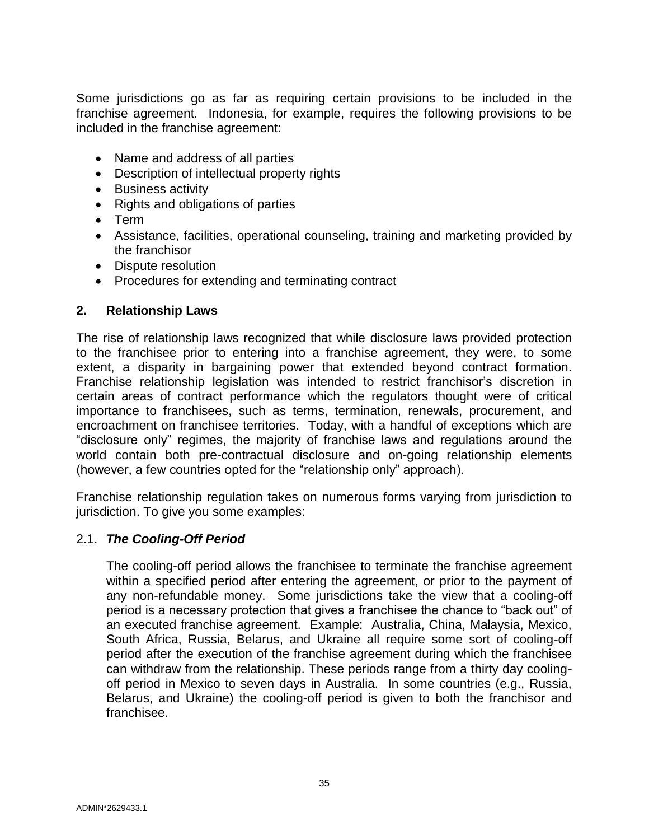Some jurisdictions go as far as requiring certain provisions to be included in the franchise agreement. Indonesia, for example, requires the following provisions to be included in the franchise agreement:

- Name and address of all parties
- Description of intellectual property rights
- Business activity
- Rights and obligations of parties
- Term
- Assistance, facilities, operational counseling, training and marketing provided by the franchisor
- Dispute resolution
- Procedures for extending and terminating contract

## **2. Relationship Laws**

The rise of relationship laws recognized that while disclosure laws provided protection to the franchisee prior to entering into a franchise agreement, they were, to some extent, a disparity in bargaining power that extended beyond contract formation. Franchise relationship legislation was intended to restrict franchisor's discretion in certain areas of contract performance which the regulators thought were of critical importance to franchisees, such as terms, termination, renewals, procurement, and encroachment on franchisee territories. Today, with a handful of exceptions which are "disclosure only" regimes, the majority of franchise laws and regulations around the world contain both pre-contractual disclosure and on-going relationship elements (however, a few countries opted for the "relationship only" approach).

Franchise relationship regulation takes on numerous forms varying from jurisdiction to jurisdiction. To give you some examples:

## 2.1. *The Cooling-Off Period*

The cooling-off period allows the franchisee to terminate the franchise agreement within a specified period after entering the agreement, or prior to the payment of any non-refundable money. Some jurisdictions take the view that a cooling-off period is a necessary protection that gives a franchisee the chance to "back out" of an executed franchise agreement. Example: Australia, China, Malaysia, Mexico, South Africa, Russia, Belarus, and Ukraine all require some sort of cooling-off period after the execution of the franchise agreement during which the franchisee can withdraw from the relationship. These periods range from a thirty day coolingoff period in Mexico to seven days in Australia. In some countries (e.g., Russia, Belarus, and Ukraine) the cooling-off period is given to both the franchisor and franchisee.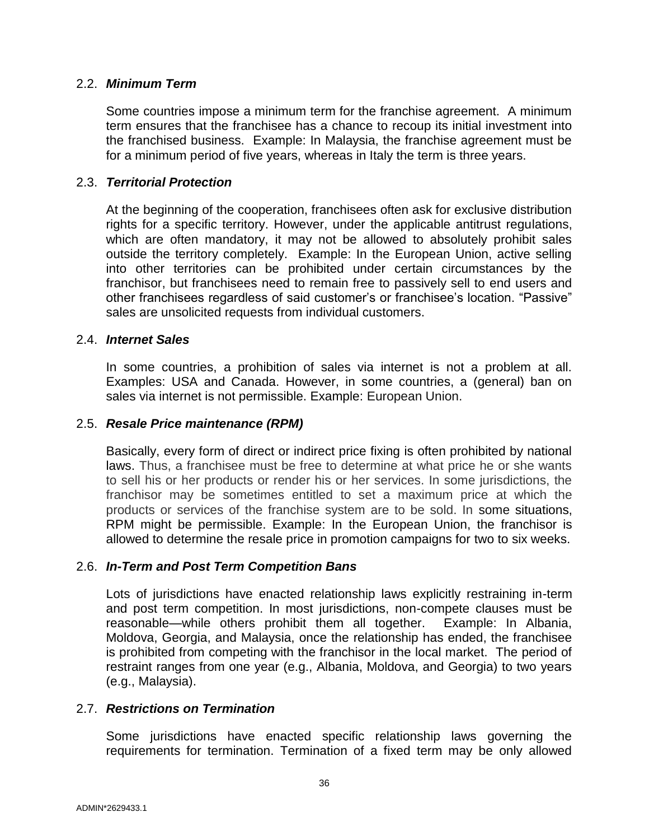## 2.2. *Minimum Term*

Some countries impose a minimum term for the franchise agreement. A minimum term ensures that the franchisee has a chance to recoup its initial investment into the franchised business. Example: In Malaysia, the franchise agreement must be for a minimum period of five years, whereas in Italy the term is three years.

## 2.3. *Territorial Protection*

At the beginning of the cooperation, franchisees often ask for exclusive distribution rights for a specific territory. However, under the applicable antitrust regulations, which are often mandatory, it may not be allowed to absolutely prohibit sales outside the territory completely. Example: In the European Union, active selling into other territories can be prohibited under certain circumstances by the franchisor, but franchisees need to remain free to passively sell to end users and other franchisees regardless of said customer's or franchisee's location. "Passive" sales are unsolicited requests from individual customers.

#### 2.4. *Internet Sales*

In some countries, a prohibition of sales via internet is not a problem at all. Examples: USA and Canada. However, in some countries, a (general) ban on sales via internet is not permissible. Example: European Union.

#### 2.5. *Resale Price maintenance (RPM)*

Basically, every form of direct or indirect price fixing is often prohibited by national laws. Thus, a franchisee must be free to determine at what price he or she wants to sell his or her products or render his or her services. In some jurisdictions, the franchisor may be sometimes entitled to set a maximum price at which the products or services of the franchise system are to be sold. In some situations, RPM might be permissible. Example: In the European Union, the franchisor is allowed to determine the resale price in promotion campaigns for two to six weeks.

#### 2.6. *In-Term and Post Term Competition Bans*

Lots of jurisdictions have enacted relationship laws explicitly restraining in-term and post term competition. In most jurisdictions, non-compete clauses must be reasonable—while others prohibit them all together. Example: In Albania, Moldova, Georgia, and Malaysia, once the relationship has ended, the franchisee is prohibited from competing with the franchisor in the local market. The period of restraint ranges from one year (e.g., Albania, Moldova, and Georgia) to two years (e.g., Malaysia).

#### 2.7. *Restrictions on Termination*

Some jurisdictions have enacted specific relationship laws governing the requirements for termination. Termination of a fixed term may be only allowed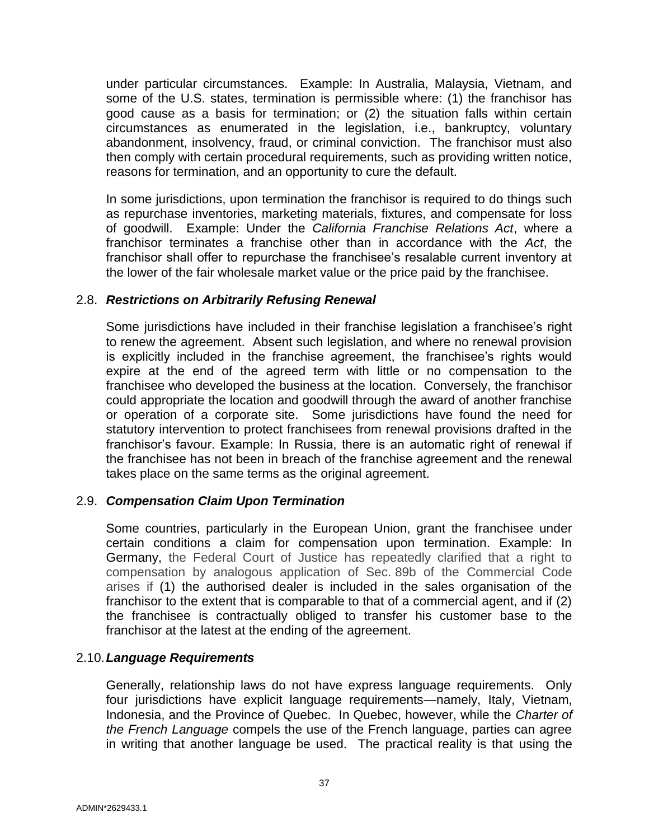under particular circumstances. Example: In Australia, Malaysia, Vietnam, and some of the U.S. states, termination is permissible where: (1) the franchisor has good cause as a basis for termination; or (2) the situation falls within certain circumstances as enumerated in the legislation, i.e., bankruptcy, voluntary abandonment, insolvency, fraud, or criminal conviction. The franchisor must also then comply with certain procedural requirements, such as providing written notice, reasons for termination, and an opportunity to cure the default.

In some jurisdictions, upon termination the franchisor is required to do things such as repurchase inventories, marketing materials, fixtures, and compensate for loss of goodwill. Example: Under the *California Franchise Relations Act*, where a franchisor terminates a franchise other than in accordance with the *Act*, the franchisor shall offer to repurchase the franchisee's resalable current inventory at the lower of the fair wholesale market value or the price paid by the franchisee.

#### 2.8. *Restrictions on Arbitrarily Refusing Renewal*

Some jurisdictions have included in their franchise legislation a franchisee's right to renew the agreement. Absent such legislation, and where no renewal provision is explicitly included in the franchise agreement, the franchisee's rights would expire at the end of the agreed term with little or no compensation to the franchisee who developed the business at the location. Conversely, the franchisor could appropriate the location and goodwill through the award of another franchise or operation of a corporate site. Some jurisdictions have found the need for statutory intervention to protect franchisees from renewal provisions drafted in the franchisor's favour. Example: In Russia, there is an automatic right of renewal if the franchisee has not been in breach of the franchise agreement and the renewal takes place on the same terms as the original agreement.

## 2.9. *Compensation Claim Upon Termination*

Some countries, particularly in the European Union, grant the franchisee under certain conditions a claim for compensation upon termination. Example: In Germany, the Federal Court of Justice has repeatedly clarified that a right to compensation by analogous application of Sec. 89b of the Commercial Code arises if (1) the authorised dealer is included in the sales organisation of the franchisor to the extent that is comparable to that of a commercial agent, and if (2) the franchisee is contractually obliged to transfer his customer base to the franchisor at the latest at the ending of the agreement.

## 2.10.*Language Requirements*

Generally, relationship laws do not have express language requirements. Only four jurisdictions have explicit language requirements—namely, Italy, Vietnam, Indonesia, and the Province of Quebec. In Quebec, however, while the *Charter of the French Language* compels the use of the French language, parties can agree in writing that another language be used. The practical reality is that using the